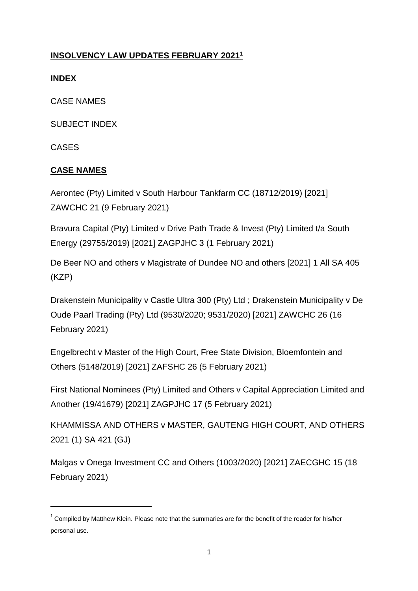## **INSOLVENCY LAW UPDATES FEBRUARY 2021<sup>1</sup>**

## **INDEX**

CASE NAMES

SUBJECT INDEX

CASES

**.** 

## **CASE NAMES**

Aerontec (Pty) Limited v South Harbour Tankfarm CC (18712/2019) [2021] ZAWCHC 21 (9 February 2021)

Bravura Capital (Pty) Limited v Drive Path Trade & Invest (Pty) Limited t/a South Energy (29755/2019) [2021] ZAGPJHC 3 (1 February 2021)

De Beer NO and others v Magistrate of Dundee NO and others [2021] 1 All SA 405 (KZP)

Drakenstein Municipality v Castle Ultra 300 (Pty) Ltd ; Drakenstein Municipality v De Oude Paarl Trading (Pty) Ltd (9530/2020; 9531/2020) [2021] ZAWCHC 26 (16 February 2021)

Engelbrecht v Master of the High Court, Free State Division, Bloemfontein and Others (5148/2019) [2021] ZAFSHC 26 (5 February 2021)

First National Nominees (Pty) Limited and Others v Capital Appreciation Limited and Another (19/41679) [2021] ZAGPJHC 17 (5 February 2021)

KHAMMISSA AND OTHERS v MASTER, GAUTENG HIGH COURT, AND OTHERS 2021 (1) SA 421 (GJ)

Malgas v Onega Investment CC and Others (1003/2020) [2021] ZAECGHC 15 (18 February 2021)

<sup>&</sup>lt;sup>1</sup> Compiled by Matthew Klein. Please note that the summaries are for the benefit of the reader for his/her personal use.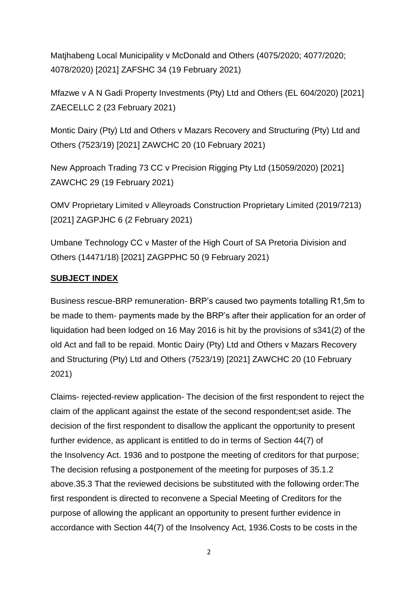Matjhabeng Local Municipality v McDonald and Others (4075/2020; 4077/2020; 4078/2020) [2021] ZAFSHC 34 (19 February 2021)

Mfazwe v A N Gadi Property Investments (Pty) Ltd and Others (EL 604/2020) [2021] ZAECELLC 2 (23 February 2021)

Montic Dairy (Pty) Ltd and Others v Mazars Recovery and Structuring (Pty) Ltd and Others (7523/19) [2021] ZAWCHC 20 (10 February 2021)

New Approach Trading 73 CC v Precision Rigging Pty Ltd (15059/2020) [2021] ZAWCHC 29 (19 February 2021)

OMV Proprietary Limited v Alleyroads Construction Proprietary Limited (2019/7213) [2021] ZAGPJHC 6 (2 February 2021)

Umbane Technology CC v Master of the High Court of SA Pretoria Division and Others (14471/18) [2021] ZAGPPHC 50 (9 February 2021)

## **SUBJECT INDEX**

Business rescue-BRP remuneration- BRP's caused two payments totalling R1,5m to be made to them- payments made by the BRP's after their application for an order of liquidation had been lodged on 16 May 2016 is hit by the provisions of s341(2) of the old Act and fall to be repaid. Montic Dairy (Pty) Ltd and Others v Mazars Recovery and Structuring (Pty) Ltd and Others (7523/19) [2021] ZAWCHC 20 (10 February 2021)

Claims- rejected-review application- The decision of the first respondent to reject the claim of the applicant against the estate of the second respondent;set aside. The decision of the first respondent to disallow the applicant the opportunity to present further evidence, as applicant is entitled to do in terms of [Section 44\(7\)](http://www.saflii.org/za/legis/consol_act/ia1936149/index.html#s44) of the [Insolvency Act. 1936](http://www.saflii.org/za/legis/consol_act/ia1936149/) and to postpone the meeting of creditors for that purpose; The decision refusing a postponement of the meeting for purposes of 35.1.2 above.35.3 That the reviewed decisions be substituted with the following order:The first respondent is directed to reconvene a Special Meeting of Creditors for the purpose of allowing the applicant an opportunity to present further evidence in accordance with [Section 44\(7\)](http://www.saflii.org/za/legis/consol_act/ia1936149/index.html#s44) of the [Insolvency](http://www.saflii.org/za/legis/consol_act/ia1936149/) [Act, 1936.](http://www.saflii.org/za/legis/consol_act/ia1936149/)Costs to be costs in the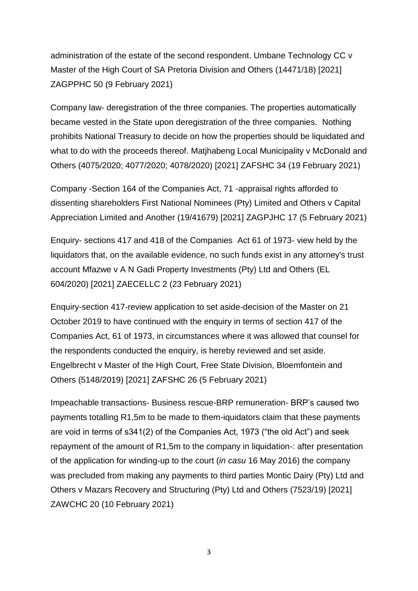administration of the estate of the second respondent. Umbane Technology CC v Master of the High Court of SA Pretoria Division and Others (14471/18) [2021] ZAGPPHC 50 (9 February 2021)

Company law- deregistration of the three companies. The properties automatically became vested in the State upon deregistration of the three companies. Nothing prohibits National Treasury to decide on how the properties should be liquidated and what to do with the proceeds thereof. Matjhabeng Local Municipality v McDonald and Others (4075/2020; 4077/2020; 4078/2020) [2021] ZAFSHC 34 (19 February 2021)

Company -Section 164 of the Companies Act, 71 -appraisal rights afforded to dissenting shareholders First National Nominees (Pty) Limited and Others v Capital Appreciation Limited and Another (19/41679) [2021] ZAGPJHC 17 (5 February 2021)

Enquiry- sections 417 and 418 of the Companies Act 61 of 1973- view held by the liquidators that, on the available evidence, no such funds exist in any attorney's trust account Mfazwe v A N Gadi Property Investments (Pty) Ltd and Others (EL 604/2020) [2021] ZAECELLC 2 (23 February 2021)

Enquiry-section 417-review application to set aside-decision of the Master on 21 October 2019 to have continued with the enquiry in terms of section 417 of the Companies Act, 61 of 1973, in circumstances where it was allowed that counsel for the respondents conducted the enquiry, is hereby reviewed and set aside. Engelbrecht v Master of the High Court, Free State Division, Bloemfontein and Others (5148/2019) [2021] ZAFSHC 26 (5 February 2021)

Impeachable transactions- Business rescue-BRP remuneration- BRP's caused two payments totalling R1,5m to be made to them-iquidators claim that these payments are void in terms of s341(2) of the Companies Act, 1973 ("the old Act") and seek repayment of the amount of R1,5m to the company in liquidation-: after presentation of the application for winding-up to the court (*in casu* 16 May 2016) the company was precluded from making any payments to third parties Montic Dairy (Pty) Ltd and Others v Mazars Recovery and Structuring (Pty) Ltd and Others (7523/19) [2021] ZAWCHC 20 (10 February 2021)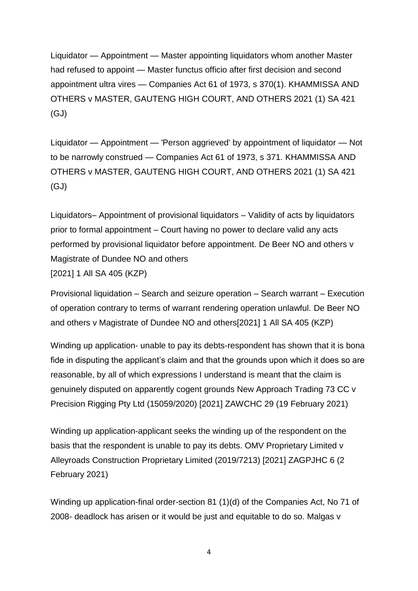Liquidator — Appointment — Master appointing liquidators whom another Master had refused to appoint — Master functus officio after first decision and second appointment ultra vires — Companies Act 61 of 1973, s 370(1). KHAMMISSA AND OTHERS v MASTER, GAUTENG HIGH COURT, AND OTHERS 2021 (1) SA 421 (GJ)

Liquidator — Appointment — 'Person aggrieved' by appointment of liquidator — Not to be narrowly construed — Companies Act 61 of 1973, s 371. KHAMMISSA AND OTHERS v MASTER, GAUTENG HIGH COURT, AND OTHERS 2021 (1) SA 421 (GJ)

Liquidators– Appointment of provisional liquidators – Validity of acts by liquidators prior to formal appointment – Court having no power to declare valid any acts performed by provisional liquidator before appointment. De Beer NO and others v Magistrate of Dundee NO and others [2021] 1 All SA 405 (KZP)

Provisional liquidation – Search and seizure operation – Search warrant – Execution of operation contrary to terms of warrant rendering operation unlawful. De Beer NO and others v Magistrate of Dundee NO and others[2021] 1 All SA 405 (KZP)

Winding up application- unable to pay its debts-respondent has shown that it is bona fide in disputing the applicant's claim and that the grounds upon which it does so are reasonable, by all of which expressions I understand is meant that the claim is genuinely disputed on apparently cogent grounds New Approach Trading 73 CC v Precision Rigging Pty Ltd (15059/2020) [2021] ZAWCHC 29 (19 February 2021)

Winding up application-applicant seeks the winding up of the respondent on the basis that the respondent is unable to pay its debts. OMV Proprietary Limited v Alleyroads Construction Proprietary Limited (2019/7213) [2021] ZAGPJHC 6 (2 February 2021)

Winding up application-final order[-section 81](http://www.saflii.org/za/legis/consol_act/ca2008107/index.html#s81) (1)(d) of the [Companies Act, No 71 of](http://www.saflii.org/za/legis/consol_act/ca2008107/)  [2008-](http://www.saflii.org/za/legis/consol_act/ca2008107/) deadlock has arisen or it would be just and equitable to do so. Malgas v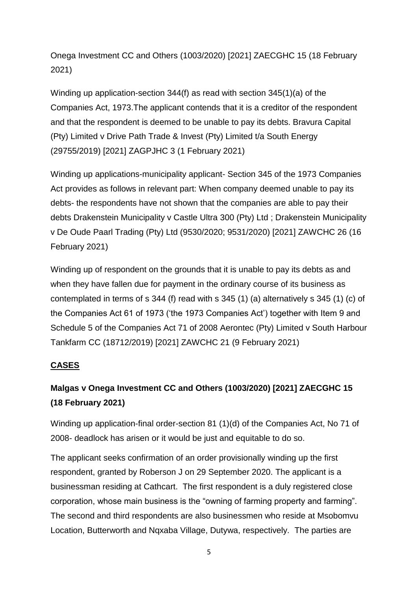Onega Investment CC and Others (1003/2020) [2021] ZAECGHC 15 (18 February 2021)

Winding up application-section 344(f) as read with section 345(1)(a) of the Companies Act, 1973.The applicant contends that it is a creditor of the respondent and that the respondent is deemed to be unable to pay its debts. Bravura Capital (Pty) Limited v Drive Path Trade & Invest (Pty) Limited t/a South Energy (29755/2019) [2021] ZAGPJHC 3 (1 February 2021)

Winding up applications-municipality applicant- Section 345 of the 1973 Companies Act provides as follows in relevant part: When company deemed unable to pay its debts- the respondents have not shown that the companies are able to pay their debts Drakenstein Municipality v Castle Ultra 300 (Pty) Ltd ; Drakenstein Municipality v De Oude Paarl Trading (Pty) Ltd (9530/2020; 9531/2020) [2021] ZAWCHC 26 (16 February 2021)

Winding up of respondent on the grounds that it is unable to pay its debts as and when they have fallen due for payment in the ordinary course of its business as contemplated in terms of s 344 (f) read with s 345 (1) (a) alternatively s 345 (1) (c) of the Companies Act 61 of 1973 ('the 1973 Companies Act') together with Item 9 and Schedule 5 of the Companies Act 71 of 2008 Aerontec (Pty) Limited v South Harbour Tankfarm CC (18712/2019) [2021] ZAWCHC 21 (9 February 2021)

## **CASES**

# **Malgas v Onega Investment CC and Others (1003/2020) [2021] ZAECGHC 15 (18 February 2021)**

Winding up application-final order[-section 81](http://www.saflii.org/za/legis/consol_act/ca2008107/index.html#s81) (1)(d) of the [Companies Act, No 71 of](http://www.saflii.org/za/legis/consol_act/ca2008107/)  [2008-](http://www.saflii.org/za/legis/consol_act/ca2008107/) deadlock has arisen or it would be just and equitable to do so.

The applicant seeks confirmation of an order provisionally winding up the first respondent, granted by Roberson J on 29 September 2020. The applicant is a businessman residing at Cathcart. The first respondent is a duly registered close corporation, whose main business is the "owning of farming property and farming". The second and third respondents are also businessmen who reside at Msobomvu Location, Butterworth and Nqxaba Village, Dutywa, respectively. The parties are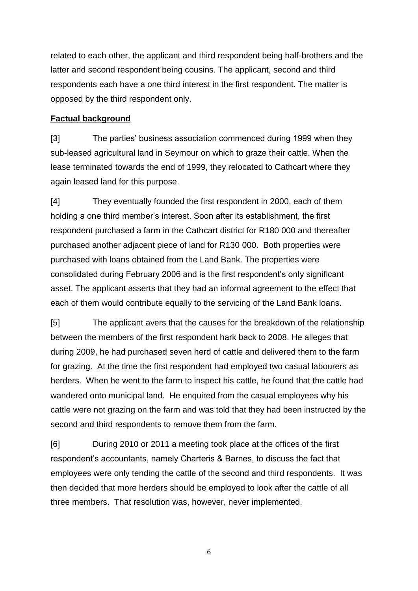related to each other, the applicant and third respondent being half-brothers and the latter and second respondent being cousins. The applicant, second and third respondents each have a one third interest in the first respondent. The matter is opposed by the third respondent only.

## **Factual background**

[3] The parties' business association commenced during 1999 when they sub-leased agricultural land in Seymour on which to graze their cattle. When the lease terminated towards the end of 1999, they relocated to Cathcart where they again leased land for this purpose.

[4] They eventually founded the first respondent in 2000, each of them holding a one third member's interest. Soon after its establishment, the first respondent purchased a farm in the Cathcart district for R180 000 and thereafter purchased another adjacent piece of land for R130 000. Both properties were purchased with loans obtained from the Land Bank. The properties were consolidated during February 2006 and is the first respondent's only significant asset. The applicant asserts that they had an informal agreement to the effect that each of them would contribute equally to the servicing of the Land Bank loans.

[5] The applicant avers that the causes for the breakdown of the relationship between the members of the first respondent hark back to 2008. He alleges that during 2009, he had purchased seven herd of cattle and delivered them to the farm for grazing. At the time the first respondent had employed two casual labourers as herders. When he went to the farm to inspect his cattle, he found that the cattle had wandered onto municipal land. He enquired from the casual employees why his cattle were not grazing on the farm and was told that they had been instructed by the second and third respondents to remove them from the farm.

[6] During 2010 or 2011 a meeting took place at the offices of the first respondent's accountants, namely Charteris & Barnes, to discuss the fact that employees were only tending the cattle of the second and third respondents. It was then decided that more herders should be employed to look after the cattle of all three members. That resolution was, however, never implemented.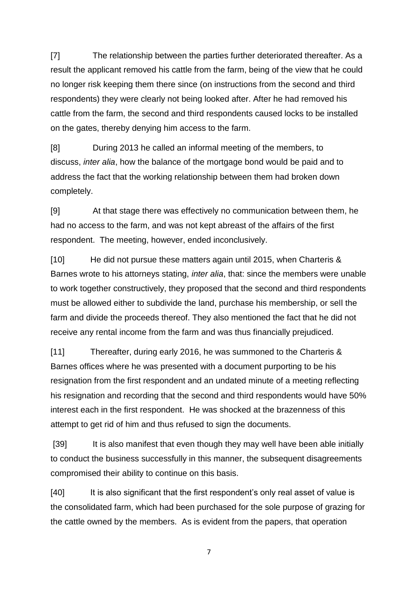[7] The relationship between the parties further deteriorated thereafter. As a result the applicant removed his cattle from the farm, being of the view that he could no longer risk keeping them there since (on instructions from the second and third respondents) they were clearly not being looked after. After he had removed his cattle from the farm, the second and third respondents caused locks to be installed on the gates, thereby denying him access to the farm.

[8] During 2013 he called an informal meeting of the members, to discuss, *inter alia*, how the balance of the mortgage bond would be paid and to address the fact that the working relationship between them had broken down completely.

[9] At that stage there was effectively no communication between them, he had no access to the farm, and was not kept abreast of the affairs of the first respondent. The meeting, however, ended inconclusively.

[10] He did not pursue these matters again until 2015, when Charteris & Barnes wrote to his attorneys stating, *inter alia*, that: since the members were unable to work together constructively, they proposed that the second and third respondents must be allowed either to subdivide the land, purchase his membership, or sell the farm and divide the proceeds thereof. They also mentioned the fact that he did not receive any rental income from the farm and was thus financially prejudiced.

[11] Thereafter, during early 2016, he was summoned to the Charteris & Barnes offices where he was presented with a document purporting to be his resignation from the first respondent and an undated minute of a meeting reflecting his resignation and recording that the second and third respondents would have 50% interest each in the first respondent. He was shocked at the brazenness of this attempt to get rid of him and thus refused to sign the documents.

[39] It is also manifest that even though they may well have been able initially to conduct the business successfully in this manner, the subsequent disagreements compromised their ability to continue on this basis.

[40] It is also significant that the first respondent's only real asset of value is the consolidated farm, which had been purchased for the sole purpose of grazing for the cattle owned by the members. As is evident from the papers, that operation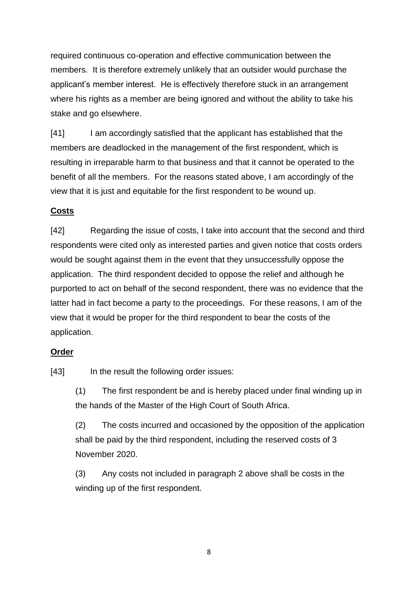required continuous co-operation and effective communication between the members. It is therefore extremely unlikely that an outsider would purchase the applicant's member interest. He is effectively therefore stuck in an arrangement where his rights as a member are being ignored and without the ability to take his stake and go elsewhere.

[41] I am accordingly satisfied that the applicant has established that the members are deadlocked in the management of the first respondent, which is resulting in irreparable harm to that business and that it cannot be operated to the benefit of all the members. For the reasons stated above, I am accordingly of the view that it is just and equitable for the first respondent to be wound up.

## **Costs**

[42] Regarding the issue of costs, I take into account that the second and third respondents were cited only as interested parties and given notice that costs orders would be sought against them in the event that they unsuccessfully oppose the application. The third respondent decided to oppose the relief and although he purported to act on behalf of the second respondent, there was no evidence that the latter had in fact become a party to the proceedings. For these reasons, I am of the view that it would be proper for the third respondent to bear the costs of the application.

## **Order**

[43] In the result the following order issues:

(1) The first respondent be and is hereby placed under final winding up in the hands of the Master of the High Court of South Africa.

(2) The costs incurred and occasioned by the opposition of the application shall be paid by the third respondent, including the reserved costs of 3 November 2020.

(3) Any costs not included in paragraph 2 above shall be costs in the winding up of the first respondent.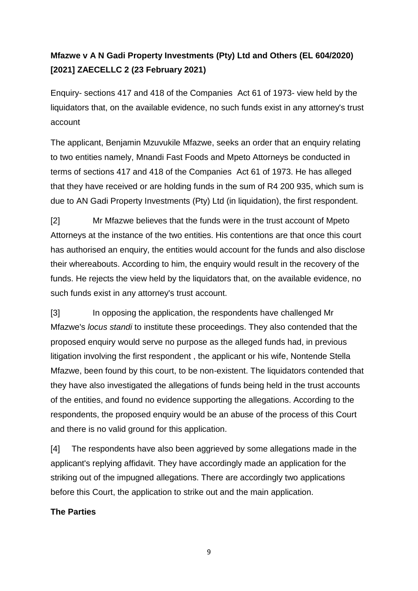# **Mfazwe v A N Gadi Property Investments (Pty) Ltd and Others (EL 604/2020) [2021] ZAECELLC 2 (23 February 2021)**

Enquiry- sections 417 and 418 of the Companies Act 61 of 1973- view held by the liquidators that, on the available evidence, no such funds exist in any attorney's trust account

The applicant, Benjamin Mzuvukile Mfazwe, seeks an order that an enquiry relating to two entities namely, Mnandi Fast Foods and Mpeto Attorneys be conducted in terms of sections 417 and 418 of the Companies Act 61 of 1973. He has alleged that they have received or are holding funds in the sum of R4 200 935, which sum is due to AN Gadi Property Investments (Pty) Ltd (in liquidation), the first respondent.

[2] Mr Mfazwe believes that the funds were in the trust account of Mpeto Attorneys at the instance of the two entities. His contentions are that once this court has authorised an enquiry, the entities would account for the funds and also disclose their whereabouts. According to him, the enquiry would result in the recovery of the funds. He rejects the view held by the liquidators that, on the available evidence, no such funds exist in any attorney's trust account.

[3] In opposing the application, the respondents have challenged Mr Mfazwe's *locus standi* to institute these proceedings. They also contended that the proposed enquiry would serve no purpose as the alleged funds had, in previous litigation involving the first respondent , the applicant or his wife, Nontende Stella Mfazwe, been found by this court, to be non-existent. The liquidators contended that they have also investigated the allegations of funds being held in the trust accounts of the entities, and found no evidence supporting the allegations. According to the respondents, the proposed enquiry would be an abuse of the process of this Court and there is no valid ground for this application.

[4] The respondents have also been aggrieved by some allegations made in the applicant's replying affidavit. They have accordingly made an application for the striking out of the impugned allegations. There are accordingly two applications before this Court, the application to strike out and the main application.

## **The Parties**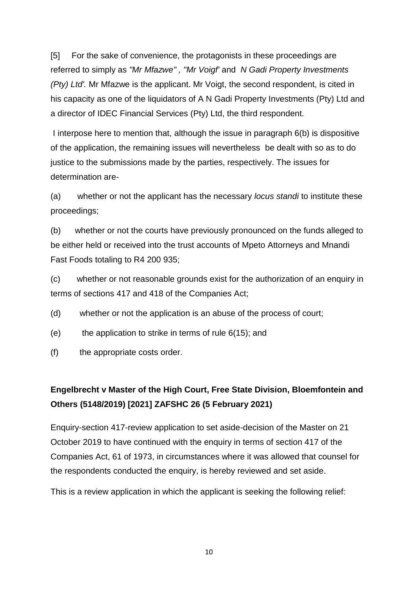[5] For the sake of convenience, the protagonists in these proceedings are referred to simply as *"Mr Mfazwe" , "Mr Voigf'* and *N Gadi Property Investments (Pty) Ltd'.* Mr Mfazwe is the applicant. Mr Voigt, the second respondent, is cited in his capacity as one of the liquidators of A N Gadi Property Investments (Pty) Ltd and a director of IDEC Financial Services (Pty) Ltd, the third respondent.

I interpose here to mention that, although the issue in paragraph 6(b) is dispositive of the application, the remaining issues will nevertheless be dealt with so as to do justice to the submissions made by the parties, respectively. The issues for determination are-

(a) whether or not the applicant has the necessary *locus standi* to institute these proceedings;

(b) whether or not the courts have previously pronounced on the funds alleged to be either held or received into the trust accounts of Mpeto Attorneys and Mnandi Fast Foods totaling to R4 200 935;

(c) whether or not reasonable grounds exist for the authorization of an enquiry in terms of sections 417 and 418 of the Companies Act;

- (d) whether or not the application is an abuse of the process of court;
- (e) the application to strike in terms of rule  $6(15)$ ; and
- (f) the appropriate costs order.

# **Engelbrecht v Master of the High Court, Free State Division, Bloemfontein and Others (5148/2019) [2021] ZAFSHC 26 (5 February 2021)**

Enquiry-section 417-review application to set aside-decision of the Master on 21 October 2019 to have continued with the enquiry in terms of section 417 of the Companies Act, 61 of 1973, in circumstances where it was allowed that counsel for the respondents conducted the enquiry, is hereby reviewed and set aside.

This is a review application in which the applicant is seeking the following relief: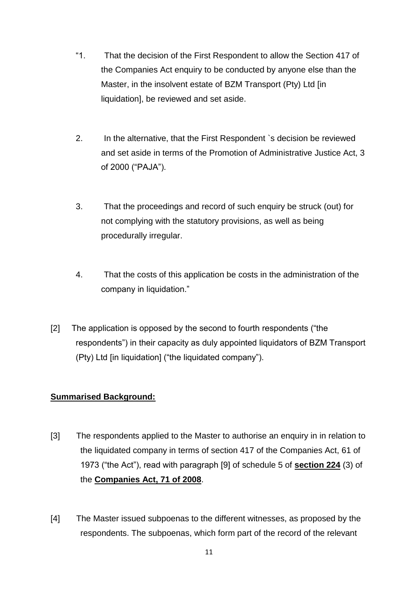- "1. That the decision of the First Respondent to allow the Section 417 of the Companies Act enquiry to be conducted by anyone else than the Master, in the insolvent estate of BZM Transport (Pty) Ltd [in liquidation], be reviewed and set aside.
- 2. In the alternative, that the First Respondent `s decision be reviewed and set aside in terms of the Promotion of Administrative Justice Act, 3 of 2000 ("PAJA").
- 3. That the proceedings and record of such enquiry be struck (out) for not complying with the statutory provisions, as well as being procedurally irregular.
- 4. That the costs of this application be costs in the administration of the company in liquidation."
- [2] The application is opposed by the second to fourth respondents ("the respondents") in their capacity as duly appointed liquidators of BZM Transport (Pty) Ltd [in liquidation] ("the liquidated company").

## **Summarised Background:**

- [3] The respondents applied to the Master to authorise an enquiry in in relation to the liquidated company in terms of section 417 of the Companies Act, 61 of 1973 ("the Act"), read with paragraph [9] of schedule 5 of **[section 224](http://www.saflii.org/za/legis/consol_act/ca2008107/index.html#s224)** (3) of the **[Companies Act,](http://www.saflii.org/za/legis/consol_act/ca2008107/) [71 of 2008](http://www.saflii.org/za/legis/consol_act/ca2008107/)**.
- [4] The Master issued subpoenas to the different witnesses, as proposed by the respondents. The subpoenas, which form part of the record of the relevant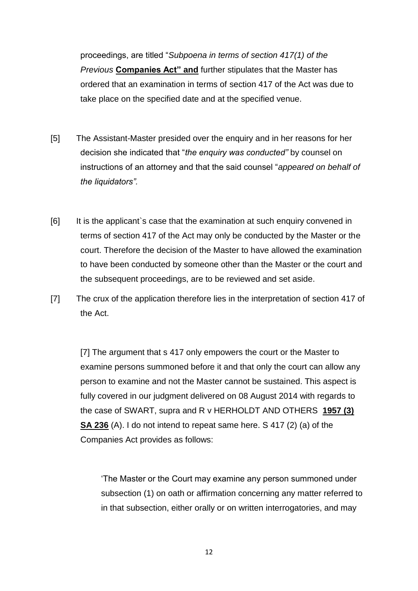proceedings, are titled "*Subpoena in terms of section 417(1) of the Previous* **[Companies Act"](http://www.saflii.org/za/legis/consol_act/ca2008107/) [and](http://www.saflii.org/za/legis/consol_act/ca2008107/)** further stipulates that the Master has ordered that an examination in terms of section 417 of the Act was due to take place on the specified date and at the specified venue.

- [5] The Assistant-Master presided over the enquiry and in her reasons for her decision she indicated that "*the enquiry was conducted"* by counsel on instructions of an attorney and that the said counsel "*appeared on behalf of the liquidators".*
- [6] It is the applicant`s case that the examination at such enquiry convened in terms of section 417 of the Act may only be conducted by the Master or the court. Therefore the decision of the Master to have allowed the examination to have been conducted by someone other than the Master or the court and the subsequent proceedings, are to be reviewed and set aside.
- [7] The crux of the application therefore lies in the interpretation of section 417 of the Act.

[7] The argument that s 417 only empowers the court or the Master to examine persons summoned before it and that only the court can allow any person to examine and not the Master cannot be sustained. This aspect is fully covered in our judgment delivered on 08 August 2014 with regards to the case of SWART, supra and R v HERHOLDT AND OTHERS **[1957 \(3\)](http://www.saflii.org/cgi-bin/LawCite?cit=1957%20%283%29%20SA%20236)  [SA 236](http://www.saflii.org/cgi-bin/LawCite?cit=1957%20%283%29%20SA%20236)** (A). I do not intend to repeat same here. S 417 (2) (a) of the Companies Act provides as follows:

'The Master or the Court may examine any person summoned under subsection (1) on oath or affirmation concerning any matter referred to in that subsection, either orally or on written interrogatories, and may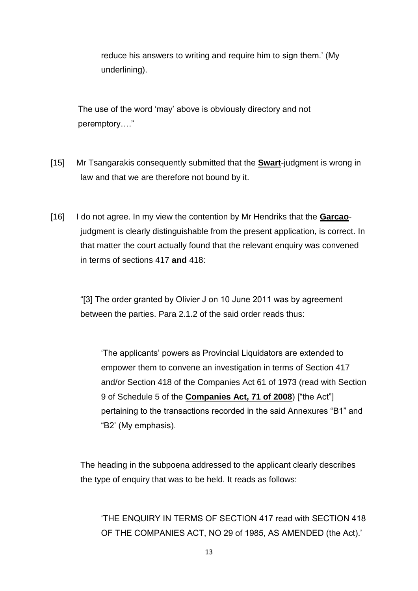reduce his answers to writing and require him to sign them.' (My underlining).

The use of the word 'may' above is obviously directory and not peremptory…."

- [15] Mr Tsangarakis consequently submitted that the **Swart**-judgment is wrong in law and that we are therefore not bound by it.
- [16] I do not agree. In my view the contention by Mr Hendriks that the **Garcao**judgment is clearly distinguishable from the present application, is correct. In that matter the court actually found that the relevant enquiry was convened in terms of sections 417 **and** 418:

"[3] The order granted by Olivier J on 10 June 2011 was by agreement between the parties. Para 2.1.2 of the said order reads thus:

'The applicants' powers as Provincial Liquidators are extended to empower them to convene an investigation in terms of Section 417 and/or Section 418 of the Companies Act 61 of 1973 (read with Section 9 of Schedule 5 of the **[Companies](http://www.saflii.org/za/legis/consol_act/ca2008107/) [Act, 71 of 2008](http://www.saflii.org/za/legis/consol_act/ca2008107/)**) ["the Act"] pertaining to the transactions recorded in the said Annexures "B1" and "B2' (My emphasis).

The heading in the subpoena addressed to the applicant clearly describes the type of enquiry that was to be held. It reads as follows:

'THE ENQUIRY IN TERMS OF SECTION 417 read with SECTION 418 OF THE COMPANIES ACT, NO 29 of 1985, AS AMENDED (the Act).'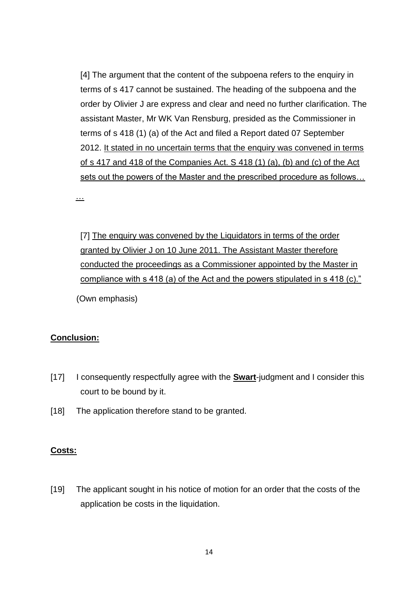[4] The argument that the content of the subpoena refers to the enquiry in terms of s 417 cannot be sustained. The heading of the subpoena and the order by Olivier J are express and clear and need no further clarification. The assistant Master, Mr WK Van Rensburg, presided as the Commissioner in terms of s 418 (1) (a) of the Act and filed a Report dated 07 September 2012. It stated in no uncertain terms that the enquiry was convened in terms of s 417 and 418 of the Companies Act. S 418 (1) (a), (b) and (c) of the Act sets out the powers of the Master and the prescribed procedure as follows…

…

[7] The enquiry was convened by the Liquidators in terms of the order granted by Olivier J on 10 June 2011. The Assistant Master therefore conducted the proceedings as a Commissioner appointed by the Master in compliance with s 418 (a) of the Act and the powers stipulated in s 418 (c)." (Own emphasis)

#### **Conclusion:**

- [17] I consequently respectfully agree with the **Swart**-judgment and I consider this court to be bound by it.
- [18] The application therefore stand to be granted.

#### **Costs:**

[19] The applicant sought in his notice of motion for an order that the costs of the application be costs in the liquidation.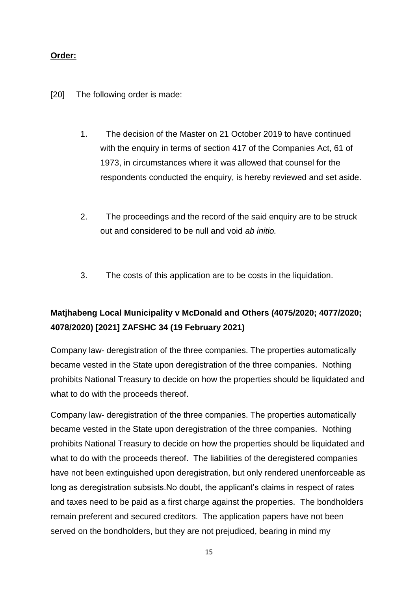## **Order:**

- [20] The following order is made:
	- 1. The decision of the Master on 21 October 2019 to have continued with the enquiry in terms of section 417 of the Companies Act, 61 of 1973, in circumstances where it was allowed that counsel for the respondents conducted the enquiry, is hereby reviewed and set aside.
	- 2. The proceedings and the record of the said enquiry are to be struck out and considered to be null and void *ab initio.*
	- 3. The costs of this application are to be costs in the liquidation.

# **Matjhabeng Local Municipality v McDonald and Others (4075/2020; 4077/2020; 4078/2020) [2021] ZAFSHC 34 (19 February 2021)**

Company law- deregistration of the three companies. The properties automatically became vested in the State upon deregistration of the three companies. Nothing prohibits National Treasury to decide on how the properties should be liquidated and what to do with the proceeds thereof.

Company law- deregistration of the three companies. The properties automatically became vested in the State upon deregistration of the three companies. Nothing prohibits National Treasury to decide on how the properties should be liquidated and what to do with the proceeds thereof. The liabilities of the deregistered companies have not been extinguished upon deregistration, but only rendered unenforceable as long as deregistration subsists.No doubt, the applicant's claims in respect of rates and taxes need to be paid as a first charge against the properties. The bondholders remain preferent and secured creditors. The application papers have not been served on the bondholders, but they are not prejudiced, bearing in mind my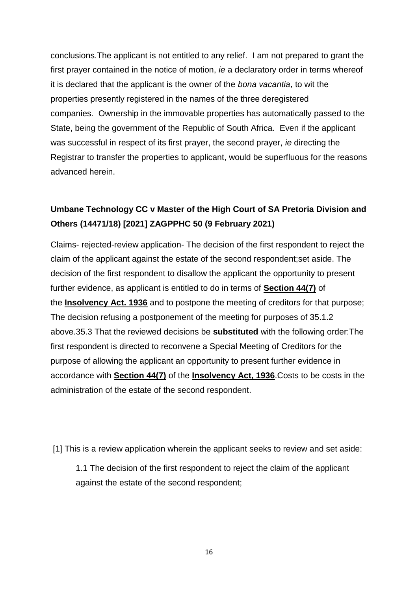conclusions.The applicant is not entitled to any relief. I am not prepared to grant the first prayer contained in the notice of motion, *ie* a declaratory order in terms whereof it is declared that the applicant is the owner of the *bona vacantia*, to wit the properties presently registered in the names of the three deregistered companies. Ownership in the immovable properties has automatically passed to the State, being the government of the Republic of South Africa. Even if the applicant was successful in respect of its first prayer, the second prayer, *ie* directing the Registrar to transfer the properties to applicant, would be superfluous for the reasons advanced herein.

## **Umbane Technology CC v Master of the High Court of SA Pretoria Division and Others (14471/18) [2021] ZAGPPHC 50 (9 February 2021)**

Claims- rejected-review application- The decision of the first respondent to reject the claim of the applicant against the estate of the second respondent;set aside. The decision of the first respondent to disallow the applicant the opportunity to present further evidence, as applicant is entitled to do in terms of **[Section 44\(7\)](http://www.saflii.org/za/legis/consol_act/ia1936149/index.html#s44)** of the **[Insolvency Act. 1936](http://www.saflii.org/za/legis/consol_act/ia1936149/)** and to postpone the meeting of creditors for that purpose; The decision refusing a postponement of the meeting for purposes of 35.1.2 above.35.3 That the reviewed decisions be **substituted** with the following order:The first respondent is directed to reconvene a Special Meeting of Creditors for the purpose of allowing the applicant an opportunity to present further evidence in accordance with **[Section 44\(7\)](http://www.saflii.org/za/legis/consol_act/ia1936149/index.html#s44)** of the **[Insolvency](http://www.saflii.org/za/legis/consol_act/ia1936149/) [Act, 1936](http://www.saflii.org/za/legis/consol_act/ia1936149/)**.Costs to be costs in the administration of the estate of the second respondent.

[1] This is a review application wherein the applicant seeks to review and set aside:

1.1 The decision of the first respondent to reject the claim of the applicant against the estate of the second respondent;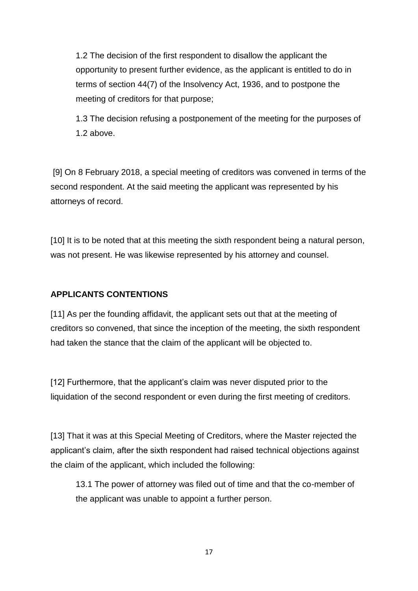1.2 The decision of the first respondent to disallow the applicant the opportunity to present further evidence, as the applicant is entitled to do in terms of [section 44\(7\)](http://www.saflii.org/za/legis/consol_act/ia1936149/index.html#s44) of the [Insolvency Act, 1936,](http://www.saflii.org/za/legis/consol_act/ia1936149/) and to postpone the meeting of creditors for that purpose;

1.3 The decision refusing a postponement of the meeting for the purposes of 1.2 above.

[9] On 8 February 2018, a special meeting of creditors was convened in terms of the second respondent. At the said meeting the applicant was represented by his attorneys of record.

[10] It is to be noted that at this meeting the sixth respondent being a natural person, was not present. He was likewise represented by his attorney and counsel.

## **APPLICANTS CONTENTIONS**

[11] As per the founding affidavit, the applicant sets out that at the meeting of creditors so convened, that since the inception of the meeting, the sixth respondent had taken the stance that the claim of the applicant will be objected to.

[12] Furthermore, that the applicant's claim was never disputed prior to the liquidation of the second respondent or even during the first meeting of creditors.

[13] That it was at this Special Meeting of Creditors, where the Master rejected the applicant's claim, after the sixth respondent had raised technical objections against the claim of the applicant, which included the following:

13.1 The power of attorney was filed out of time and that the co-member of the applicant was unable to appoint a further person.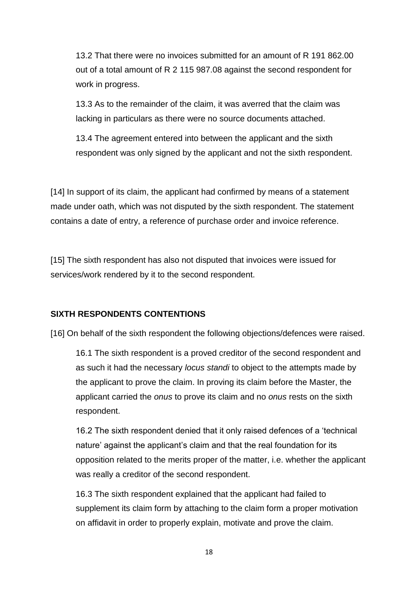13.2 That there were no invoices submitted for an amount of R 191 862.00 out of a total amount of R 2 115 987.08 against the second respondent for work in progress.

13.3 As to the remainder of the claim, it was averred that the claim was lacking in particulars as there were no source documents attached.

13.4 The agreement entered into between the applicant and the sixth respondent was only signed by the applicant and not the sixth respondent.

[14] In support of its claim, the applicant had confirmed by means of a statement made under oath, which was not disputed by the sixth respondent. The statement contains a date of entry, a reference of purchase order and invoice reference.

[15] The sixth respondent has also not disputed that invoices were issued for services/work rendered by it to the second respondent.

#### **SIXTH RESPONDENTS CONTENTIONS**

[16] On behalf of the sixth respondent the following objections/defences were raised.

16.1 The sixth respondent is a proved creditor of the second respondent and as such it had the necessary *locus standi* to object to the attempts made by the applicant to prove the claim. In proving its claim before the Master, the applicant carried the *onus* to prove its claim and no *onus* rests on the sixth respondent.

16.2 The sixth respondent denied that it only raised defences of a 'technical nature' against the applicant's claim and that the real foundation for its opposition related to the merits proper of the matter, i.e. whether the applicant was really a creditor of the second respondent.

16.3 The sixth respondent explained that the applicant had failed to supplement its claim form by attaching to the claim form a proper motivation on affidavit in order to properly explain, motivate and prove the claim.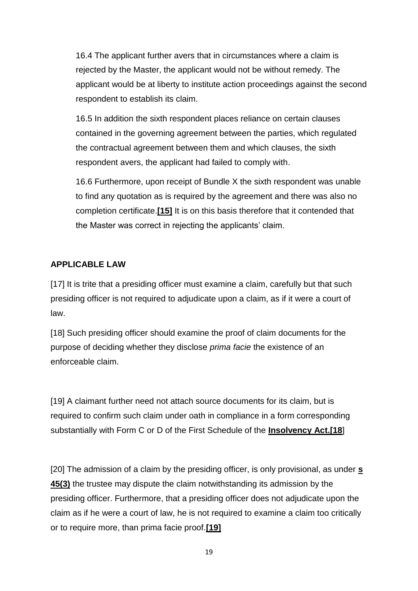16.4 The applicant further avers that in circumstances where a claim is rejected by the Master, the applicant would not be without remedy. The applicant would be at liberty to institute action proceedings against the second respondent to establish its claim.

16.5 In addition the sixth respondent places reliance on certain clauses contained in the governing agreement between the parties, which regulated the contractual agreement between them and which clauses, the sixth respondent avers, the applicant had failed to comply with.

16.6 Furthermore, upon receipt of Bundle X the sixth respondent was unable to find any quotation as is required by the agreement and there was also no completion certificate.**[\[15\]](http://www.saflii.org/za/cases/ZAGPPHC/2021/50.html#_ftn15)** It is on this basis therefore that it contended that the Master was correct in rejecting the applicants' claim.

## **APPLICABLE LAW**

[17] It is trite that a presiding officer must examine a claim, carefully but that such presiding officer is not required to adjudicate upon a claim, as if it were a court of law.

[18] Such presiding officer should examine the proof of claim documents for the purpose of deciding whether they disclose *prima facie* the existence of an enforceable claim.

[19] A claimant further need not attach source documents for its claim, but is required to confirm such claim under oath in compliance in a form corresponding substantially with Form C or D of the First Schedule of the **[Insolvency Act.\[18](http://www.saflii.org/za/legis/consol_act/ia1936149/)**]

[20] The admission of a claim by the presiding officer, is only provisional, as under **[s](http://www.saflii.org/za/legis/consol_act/ia1936149/index.html#s45)  [45\(3\)](http://www.saflii.org/za/legis/consol_act/ia1936149/index.html#s45)** the trustee may dispute the claim notwithstanding its admission by the presiding officer. Furthermore, that a presiding officer does not adjudicate upon the claim as if he were a court of law, he is not required to examine a claim too critically or to require more, than prima facie proof.**[\[19\]](http://www.saflii.org/za/cases/ZAGPPHC/2021/50.html#_ftn19)**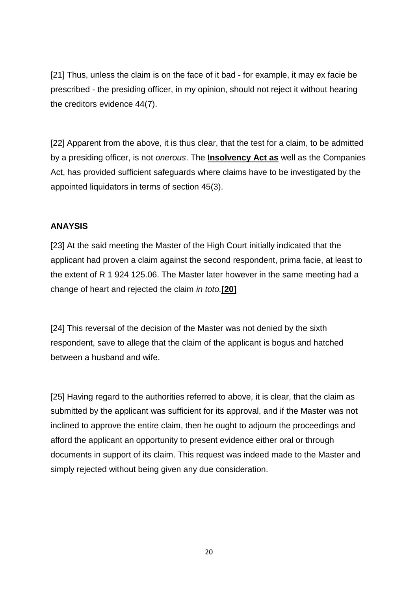[21] Thus, unless the claim is on the face of it bad - for example, it may ex facie be prescribed - the presiding officer, in my opinion, should not reject it without hearing the creditors evidence 44(7).

[22] Apparent from the above, it is thus clear, that the test for a claim, to be admitted by a presiding officer, is not *onerous*. The **[Insolvency Act as](http://www.saflii.org/za/legis/consol_act/ia1936149/)** well as the Companies Act, has provided sufficient safeguards where claims have to be investigated by the appointed liquidators in terms of section 45(3).

### **ANAYSIS**

[23] At the said meeting the Master of the High Court initially indicated that the applicant had proven a claim against the second respondent, prima facie, at least to the extent of R 1 924 125.06. The Master later however in the same meeting had a change of heart and rejected the claim *in toto.***[\[20\]](http://www.saflii.org/za/cases/ZAGPPHC/2021/50.html#_ftn20)**

[24] This reversal of the decision of the Master was not denied by the sixth respondent, save to allege that the claim of the applicant is bogus and hatched between a husband and wife.

[25] Having regard to the authorities referred to above, it is clear, that the claim as submitted by the applicant was sufficient for its approval, and if the Master was not inclined to approve the entire claim, then he ought to adjourn the proceedings and afford the applicant an opportunity to present evidence either oral or through documents in support of its claim. This request was indeed made to the Master and simply rejected without being given any due consideration.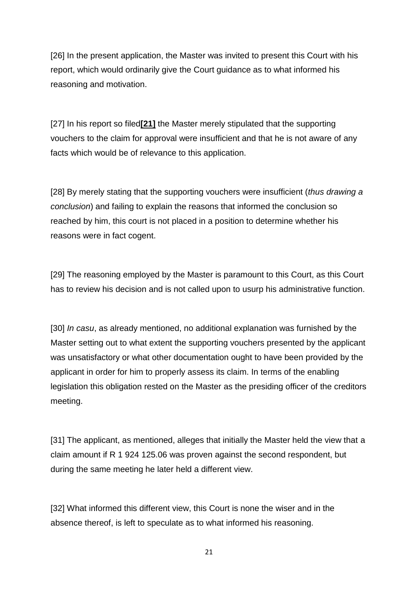[26] In the present application, the Master was invited to present this Court with his report, which would ordinarily give the Court guidance as to what informed his reasoning and motivation.

[27] In his report so filed**[\[21\]](http://www.saflii.org/za/cases/ZAGPPHC/2021/50.html#_ftn21)** the Master merely stipulated that the supporting vouchers to the claim for approval were insufficient and that he is not aware of any facts which would be of relevance to this application.

[28] By merely stating that the supporting vouchers were insufficient (*thus drawing a conclusion*) and failing to explain the reasons that informed the conclusion so reached by him, this court is not placed in a position to determine whether his reasons were in fact cogent.

[29] The reasoning employed by the Master is paramount to this Court, as this Court has to review his decision and is not called upon to usurp his administrative function.

[30] *In casu*, as already mentioned, no additional explanation was furnished by the Master setting out to what extent the supporting vouchers presented by the applicant was unsatisfactory or what other documentation ought to have been provided by the applicant in order for him to properly assess its claim. In terms of the enabling legislation this obligation rested on the Master as the presiding officer of the creditors meeting.

[31] The applicant, as mentioned, alleges that initially the Master held the view that a claim amount if R 1 924 125.06 was proven against the second respondent, but during the same meeting he later held a different view.

[32] What informed this different view, this Court is none the wiser and in the absence thereof, is left to speculate as to what informed his reasoning.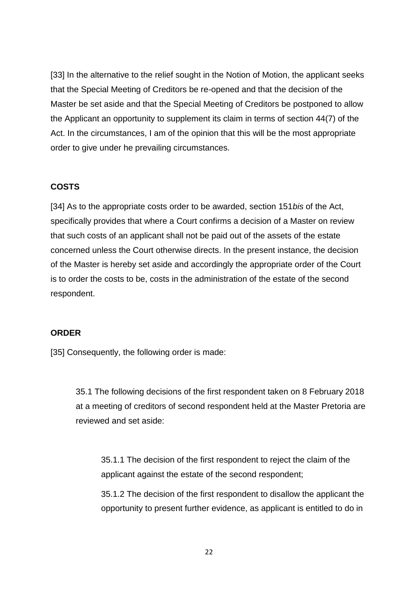[33] In the alternative to the relief sought in the Notion of Motion, the applicant seeks that the Special Meeting of Creditors be re-opened and that the decision of the Master be set aside and that the Special Meeting of Creditors be postponed to allow the Applicant an opportunity to supplement its claim in terms of section 44(7) of the Act. In the circumstances, I am of the opinion that this will be the most appropriate order to give under he prevailing circumstances.

#### **COSTS**

[34] As to the appropriate costs order to be awarded, section 151*bis* of the Act, specifically provides that where a Court confirms a decision of a Master on review that such costs of an applicant shall not be paid out of the assets of the estate concerned unless the Court otherwise directs. In the present instance, the decision of the Master is hereby set aside and accordingly the appropriate order of the Court is to order the costs to be, costs in the administration of the estate of the second respondent.

#### **ORDER**

[35] Consequently, the following order is made:

35.1 The following decisions of the first respondent taken on 8 February 2018 at a meeting of creditors of second respondent held at the Master Pretoria are reviewed and set aside:

35.1.1 The decision of the first respondent to reject the claim of the applicant against the estate of the second respondent;

35.1.2 The decision of the first respondent to disallow the applicant the opportunity to present further evidence, as applicant is entitled to do in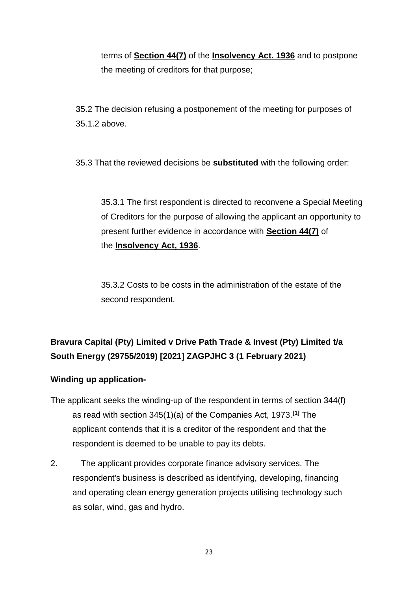terms of **[Section 44\(7\)](http://www.saflii.org/za/legis/consol_act/ia1936149/index.html#s44)** of the **[Insolvency Act. 1936](http://www.saflii.org/za/legis/consol_act/ia1936149/)** and to postpone the meeting of creditors for that purpose;

35.2 The decision refusing a postponement of the meeting for purposes of 35.1.2 above.

35.3 That the reviewed decisions be **substituted** with the following order:

35.3.1 The first respondent is directed to reconvene a Special Meeting of Creditors for the purpose of allowing the applicant an opportunity to present further evidence in accordance with **[Section 44\(7\)](http://www.saflii.org/za/legis/consol_act/ia1936149/index.html#s44)** of the **[Insolvency](http://www.saflii.org/za/legis/consol_act/ia1936149/) [Act, 1936](http://www.saflii.org/za/legis/consol_act/ia1936149/)**.

35.3.2 Costs to be costs in the administration of the estate of the second respondent.

# **Bravura Capital (Pty) Limited v Drive Path Trade & Invest (Pty) Limited t/a South Energy (29755/2019) [2021] ZAGPJHC 3 (1 February 2021)**

## **Winding up application-**

- The applicant seeks the winding-up of the respondent in terms of section 344(f) as read with section 345(1)(a) of the Companies Act, 1973.**[\[1\]](http://www.saflii.org/za/cases/ZAGPJHC/2021/3.html#_ftn1)** The applicant contends that it is a creditor of the respondent and that the respondent is deemed to be unable to pay its debts.
- 2. The applicant provides corporate finance advisory services. The respondent's business is described as identifying, developing, financing and operating clean energy generation projects utilising technology such as solar, wind, gas and hydro.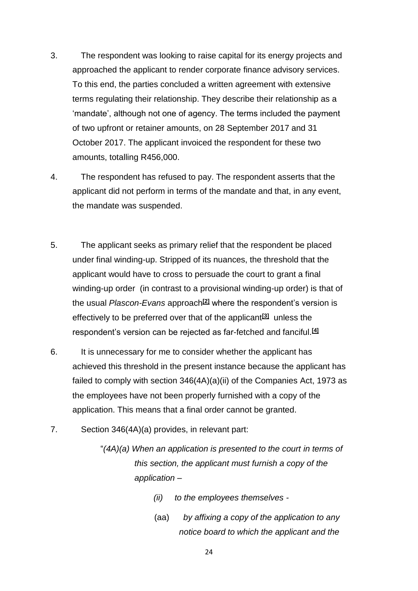- 3. The respondent was looking to raise capital for its energy projects and approached the applicant to render corporate finance advisory services. To this end, the parties concluded a written agreement with extensive terms regulating their relationship. They describe their relationship as a 'mandate', although not one of agency. The terms included the payment of two upfront or retainer amounts, on 28 September 2017 and 31 October 2017. The applicant invoiced the respondent for these two amounts, totalling R456,000.
- 4. The respondent has refused to pay. The respondent asserts that the applicant did not perform in terms of the mandate and that, in any event, the mandate was suspended.
- 5. The applicant seeks as primary relief that the respondent be placed under final winding-up. Stripped of its nuances, the threshold that the applicant would have to cross to persuade the court to grant a final winding-up order (in contrast to a provisional winding-up order) is that of the usual *Plascon-Evans* approach**[\[2\]](http://www.saflii.org/za/cases/ZAGPJHC/2021/3.html#_ftn2)** where the respondent's version is effectively to be preferred over that of the applicant**[\[3\]](http://www.saflii.org/za/cases/ZAGPJHC/2021/3.html#_ftn3)** unless the respondent's version can be rejected as far-fetched and fanciful.**[\[4\]](http://www.saflii.org/za/cases/ZAGPJHC/2021/3.html#_ftn4)**
- 6. It is unnecessary for me to consider whether the applicant has achieved this threshold in the present instance because the applicant has failed to comply with section 346(4A)(a)(ii) of the Companies Act, 1973 as the employees have not been properly furnished with a copy of the application. This means that a final order cannot be granted.
- 7. Section 346(4A)(a) provides, in relevant part:
	- "*(4A)(a) When an application is presented to the court in terms of this section, the applicant must furnish a copy of the application –*
		- *(ii) to the employees themselves -*
		- (aa) *by affixing a copy of the application to any notice board to which the applicant and the*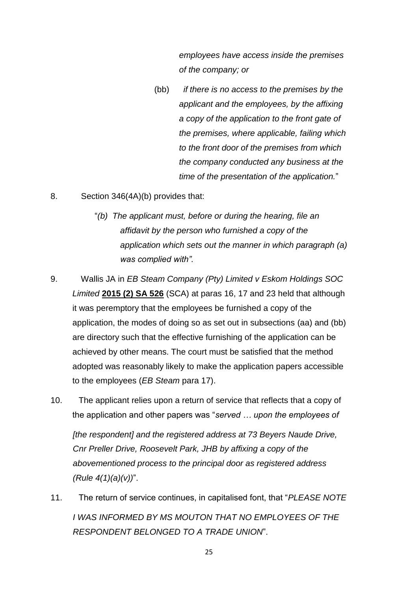*employees have access inside the premises of the company; or*

(bb) *if there is no access to the premises by the applicant and the employees, by the affixing a copy of the application to the front gate of the premises, where applicable, failing which to the front door of the premises from which the company conducted any business at the time of the presentation of the application.*"

8. Section 346(4A)(b) provides that:

- "*(b) The applicant must, before or during the hearing, file an affidavit by the person who furnished a copy of the application which sets out the manner in which paragraph (a) was complied with".*
- 9. Wallis JA in *EB Steam Company (Pty) Limited v Eskom Holdings SOC Limited* **[2015 \(2\) SA 526](http://www.saflii.org/cgi-bin/LawCite?cit=2015%20%282%29%20SA%20526)** (SCA) at paras 16, 17 and 23 held that although it was peremptory that the employees be furnished a copy of the application, the modes of doing so as set out in subsections (aa) and (bb) are directory such that the effective furnishing of the application can be achieved by other means. The court must be satisfied that the method adopted was reasonably likely to make the application papers accessible to the employees (*EB Steam* para 17).
- 10. The applicant relies upon a return of service that reflects that a copy of the application and other papers was "*served … upon the employees of [the respondent] and the registered address at 73 Beyers Naude Drive, Cnr Preller Drive, Roosevelt Park, JHB by affixing a copy of the abovementioned process to the principal door as registered address (Rule 4(1)(a)(v))*".
- 11. The return of service continues, in capitalised font, that "*PLEASE NOTE I WAS INFORMED BY MS MOUTON THAT NO EMPLOYEES OF THE RESPONDENT BELONGED TO A TRADE UNION*".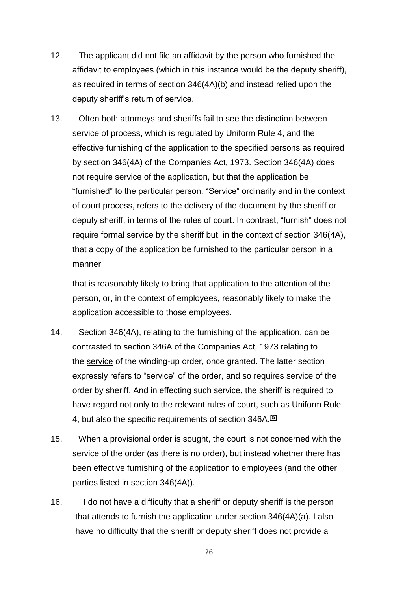- 12. The applicant did not file an affidavit by the person who furnished the affidavit to employees (which in this instance would be the deputy sheriff), as required in terms of section 346(4A)(b) and instead relied upon the deputy sheriff's return of service.
- 13. Often both attorneys and sheriffs fail to see the distinction between service of process, which is regulated by Uniform Rule 4, and the effective furnishing of the application to the specified persons as required by section 346(4A) of the Companies Act, 1973. Section 346(4A) does not require service of the application, but that the application be "furnished" to the particular person. "Service" ordinarily and in the context of court process, refers to the delivery of the document by the sheriff or deputy sheriff, in terms of the rules of court. In contrast, "furnish" does not require formal service by the sheriff but, in the context of section 346(4A), that a copy of the application be furnished to the particular person in a manner

that is reasonably likely to bring that application to the attention of the person, or, in the context of employees, reasonably likely to make the application accessible to those employees.

- 14. Section 346(4A), relating to the furnishing of the application, can be contrasted to section 346A of the Companies Act, 1973 relating to the service of the winding-up order, once granted. The latter section expressly refers to "service" of the order, and so requires service of the order by sheriff. And in effecting such service, the sheriff is required to have regard not only to the relevant rules of court, such as Uniform Rule 4, but also the specific requirements of section 346A.**[\[5\]](http://www.saflii.org/za/cases/ZAGPJHC/2021/3.html#_ftn5)**
- 15. When a provisional order is sought, the court is not concerned with the service of the order (as there is no order), but instead whether there has been effective furnishing of the application to employees (and the other parties listed in section 346(4A)).
- 16. I do not have a difficulty that a sheriff or deputy sheriff is the person that attends to furnish the application under section 346(4A)(a). I also have no difficulty that the sheriff or deputy sheriff does not provide a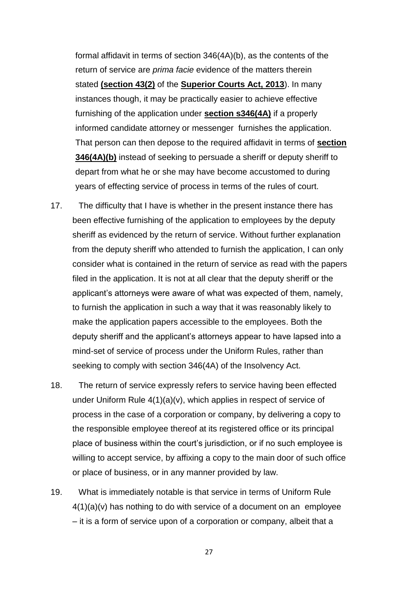formal affidavit in terms of section 346(4A)(b), as the contents of the return of service are *prima facie* evidence of the matters therein stated **[\(section 43\(2\)](http://www.saflii.org/za/legis/num_act/sca2013224/index.html#s43)** of the **[Superior Courts Act,](http://www.saflii.org/za/legis/num_act/sca2013224/) [2013](http://www.saflii.org/za/legis/num_act/sca2013224/)**). In many instances though, it may be practically easier to achieve effective furnishing of the application under **[section s346\(4A\)](http://www.saflii.org/za/legis/num_act/sca2013224/index.html#s346)** if a properly informed candidate attorney or messenger furnishes the application. That person can then depose to the required affidavit in terms of **[section](http://www.saflii.org/za/legis/num_act/sca2013224/index.html#s346)  [346\(4A\)\(b\)](http://www.saflii.org/za/legis/num_act/sca2013224/index.html#s346)** instead of seeking to persuade a sheriff or deputy sheriff to depart from what he or she may have become accustomed to during years of effecting service of process in terms of the rules of court.

- 17. The difficulty that I have is whether in the present instance there has been effective furnishing of the application to employees by the deputy sheriff as evidenced by the return of service. Without further explanation from the deputy sheriff who attended to furnish the application, I can only consider what is contained in the return of service as read with the papers filed in the application. It is not at all clear that the deputy sheriff or the applicant's attorneys were aware of what was expected of them, namely, to furnish the application in such a way that it was reasonably likely to make the application papers accessible to the employees. Both the deputy sheriff and the applicant's attorneys appear to have lapsed into a mind-set of service of process under the Uniform Rules, rather than seeking to comply with section 346(4A) of the Insolvency Act.
- 18. The return of service expressly refers to service having been effected under Uniform Rule 4(1)(a)(v), which applies in respect of service of process in the case of a corporation or company, by delivering a copy to the responsible employee thereof at its registered office or its principal place of business within the court's jurisdiction, or if no such employee is willing to accept service, by affixing a copy to the main door of such office or place of business, or in any manner provided by law.
- 19. What is immediately notable is that service in terms of Uniform Rule  $4(1)(a)(v)$  has nothing to do with service of a document on an employee – it is a form of service upon of a corporation or company, albeit that a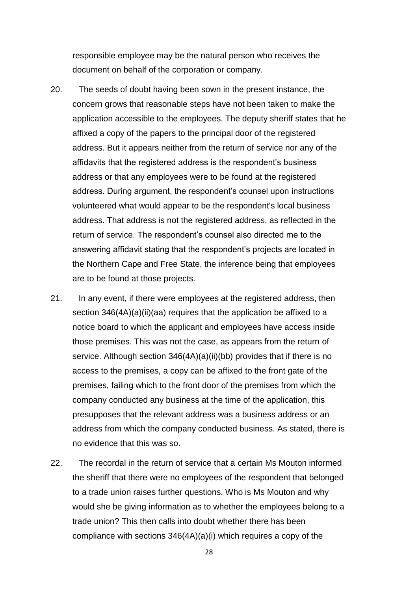responsible employee may be the natural person who receives the document on behalf of the corporation or company.

- 20. The seeds of doubt having been sown in the present instance, the concern grows that reasonable steps have not been taken to make the application accessible to the employees. The deputy sheriff states that he affixed a copy of the papers to the principal door of the registered address. But it appears neither from the return of service nor any of the affidavits that the registered address is the respondent's business address or that any employees were to be found at the registered address. During argument, the respondent's counsel upon instructions volunteered what would appear to be the respondent's local business address. That address is not the registered address, as reflected in the return of service. The respondent's counsel also directed me to the answering affidavit stating that the respondent's projects are located in the Northern Cape and Free State, the inference being that employees are to be found at those projects.
- 21. In any event, if there were employees at the registered address, then section 346(4A)(a)(ii)(aa) requires that the application be affixed to a notice board to which the applicant and employees have access inside those premises. This was not the case, as appears from the return of service. Although section 346(4A)(a)(ii)(bb) provides that if there is no access to the premises, a copy can be affixed to the front gate of the premises, failing which to the front door of the premises from which the company conducted any business at the time of the application, this presupposes that the relevant address was a business address or an address from which the company conducted business. As stated, there is no evidence that this was so.
- 22. The recordal in the return of service that a certain Ms Mouton informed the sheriff that there were no employees of the respondent that belonged to a trade union raises further questions. Who is Ms Mouton and why would she be giving information as to whether the employees belong to a trade union? This then calls into doubt whether there has been compliance with sections 346(4A)(a)(i) which requires a copy of the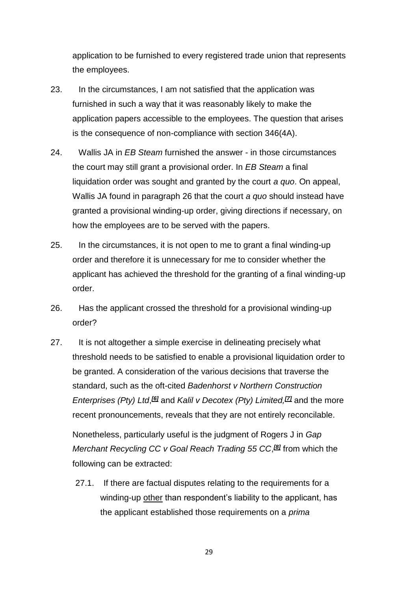application to be furnished to every registered trade union that represents the employees.

- 23. In the circumstances, I am not satisfied that the application was furnished in such a way that it was reasonably likely to make the application papers accessible to the employees. The question that arises is the consequence of non-compliance with section 346(4A).
- 24. Wallis JA in *EB Steam* furnished the answer in those circumstances the court may still grant a provisional order. In *EB Steam* a final liquidation order was sought and granted by the court *a quo*. On appeal, Wallis JA found in paragraph 26 that the court *a quo* should instead have granted a provisional winding-up order, giving directions if necessary, on how the employees are to be served with the papers.
- 25. In the circumstances, it is not open to me to grant a final winding-up order and therefore it is unnecessary for me to consider whether the applicant has achieved the threshold for the granting of a final winding-up order.
- 26. Has the applicant crossed the threshold for a provisional winding-up order?
- 27. It is not altogether a simple exercise in delineating precisely what threshold needs to be satisfied to enable a provisional liquidation order to be granted. A consideration of the various decisions that traverse the standard, such as the oft-cited *Badenhorst v Northern Construction Enterprises (Pty) Ltd*, *[\[6\]](http://www.saflii.org/za/cases/ZAGPJHC/2021/3.html#_ftn6)* and *Kalil v Decotex (Pty) Limited,[\[7\]](http://www.saflii.org/za/cases/ZAGPJHC/2021/3.html#_ftn7)* and the more recent pronouncements, reveals that they are not entirely reconcilable.

Nonetheless, particularly useful is the judgment of Rogers J in *Gap*  **Merchant Recycling CC v Goal Reach Trading 55 CC,<sup>®</sup>I from which the** following can be extracted:

27.1. If there are factual disputes relating to the requirements for a winding-up other than respondent's liability to the applicant, has the applicant established those requirements on a *prima*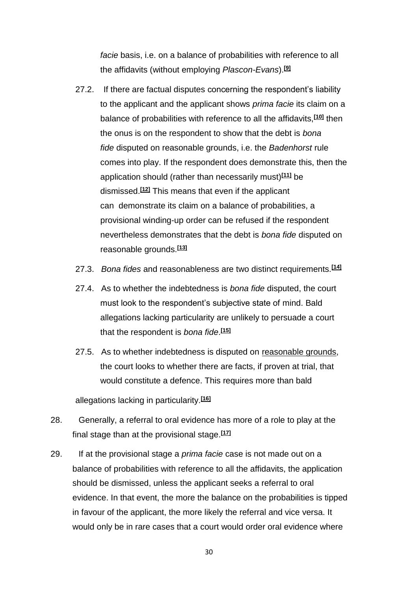*facie* basis, i.e. on a balance of probabilities with reference to all the affidavits (without employing *Plascon-Evans*).**[\[9\]](http://www.saflii.org/za/cases/ZAGPJHC/2021/3.html#_ftn9)**

- 27.2. If there are factual disputes concerning the respondent's liability to the applicant and the applicant shows *prima facie* its claim on a balance of probabilities with reference to all the affidavits,**[\[10\]](http://www.saflii.org/za/cases/ZAGPJHC/2021/3.html#_ftn10)** then the onus is on the respondent to show that the debt is *bona fide* disputed on reasonable grounds, i.e. the *Badenhorst* rule comes into play. If the respondent does demonstrate this, then the application should (rather than necessarily must)**[\[11\]](http://www.saflii.org/za/cases/ZAGPJHC/2021/3.html#_ftn11)** be dismissed.**[\[12\]](http://www.saflii.org/za/cases/ZAGPJHC/2021/3.html#_ftn12)** This means that even if the applicant can demonstrate its claim on a balance of probabilities, a provisional winding-up order can be refused if the respondent nevertheless demonstrates that the debt is *bona fide* disputed on reasonable grounds.**[\[13\]](http://www.saflii.org/za/cases/ZAGPJHC/2021/3.html#_ftn13)**
- 27.3. *Bona fides* and reasonableness are two distinct requirements.**[\[14\]](http://www.saflii.org/za/cases/ZAGPJHC/2021/3.html#_ftn14)**
- 27.4. As to whether the indebtedness is *bona fide* disputed, the court must look to the respondent's subjective state of mind. Bald allegations lacking particularity are unlikely to persuade a court that the respondent is *bona fide*. **[\[15\]](http://www.saflii.org/za/cases/ZAGPJHC/2021/3.html#_ftn15)**
- 27.5. As to whether indebtedness is disputed on reasonable grounds, the court looks to whether there are facts, if proven at trial, that would constitute a defence. This requires more than bald

allegations lacking in particularity.**[\[16\]](http://www.saflii.org/za/cases/ZAGPJHC/2021/3.html#_ftn16)**

- 28. Generally, a referral to oral evidence has more of a role to play at the final stage than at the provisional stage.**[\[17\]](http://www.saflii.org/za/cases/ZAGPJHC/2021/3.html#_ftn17)**
- 29. If at the provisional stage a *prima facie* case is not made out on a balance of probabilities with reference to all the affidavits, the application should be dismissed, unless the applicant seeks a referral to oral evidence. In that event, the more the balance on the probabilities is tipped in favour of the applicant, the more likely the referral and vice versa. It would only be in rare cases that a court would order oral evidence where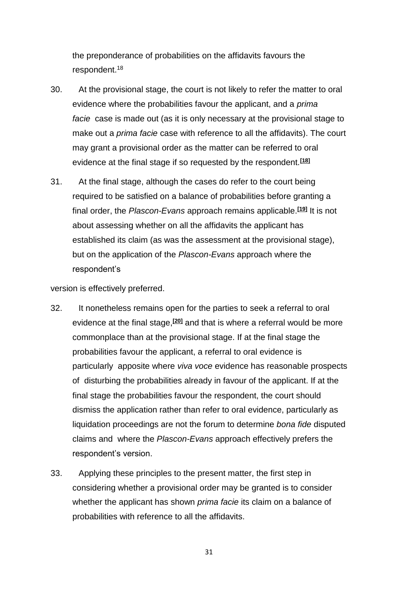the preponderance of probabilities on the affidavits favours the respondent.<sup>18</sup>

- 30. At the provisional stage, the court is not likely to refer the matter to oral evidence where the probabilities favour the applicant, and a *prima facie* case is made out (as it is only necessary at the provisional stage to make out a *prima facie* case with reference to all the affidavits). The court may grant a provisional order as the matter can be referred to oral evidence at the final stage if so requested by the respondent.**[\[18\]](http://www.saflii.org/za/cases/ZAGPJHC/2021/3.html#_ftn18)**
- 31. At the final stage, although the cases do refer to the court being required to be satisfied on a balance of probabilities before granting a final order, the *Plascon-Evans* approach remains applicable.**[\[19\]](http://www.saflii.org/za/cases/ZAGPJHC/2021/3.html#_ftn19)** It is not about assessing whether on all the affidavits the applicant has established its claim (as was the assessment at the provisional stage), but on the application of the *Plascon-Evans* approach where the respondent's

version is effectively preferred.

- 32. It nonetheless remains open for the parties to seek a referral to oral evidence at the final stage,**[\[20\]](http://www.saflii.org/za/cases/ZAGPJHC/2021/3.html#_ftn20)** and that is where a referral would be more commonplace than at the provisional stage. If at the final stage the probabilities favour the applicant, a referral to oral evidence is particularly apposite where *viva voce* evidence has reasonable prospects of disturbing the probabilities already in favour of the applicant. If at the final stage the probabilities favour the respondent, the court should dismiss the application rather than refer to oral evidence, particularly as liquidation proceedings are not the forum to determine *bona fide* disputed claims and where the *Plascon-Evans* approach effectively prefers the respondent's version.
- 33. Applying these principles to the present matter, the first step in considering whether a provisional order may be granted is to consider whether the applicant has shown *prima facie* its claim on a balance of probabilities with reference to all the affidavits.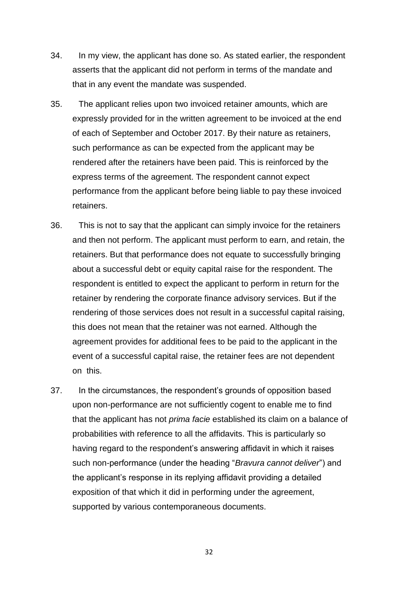- 34. In my view, the applicant has done so. As stated earlier, the respondent asserts that the applicant did not perform in terms of the mandate and that in any event the mandate was suspended.
- 35. The applicant relies upon two invoiced retainer amounts, which are expressly provided for in the written agreement to be invoiced at the end of each of September and October 2017. By their nature as retainers, such performance as can be expected from the applicant may be rendered after the retainers have been paid. This is reinforced by the express terms of the agreement. The respondent cannot expect performance from the applicant before being liable to pay these invoiced retainers.
- 36. This is not to say that the applicant can simply invoice for the retainers and then not perform. The applicant must perform to earn, and retain, the retainers. But that performance does not equate to successfully bringing about a successful debt or equity capital raise for the respondent. The respondent is entitled to expect the applicant to perform in return for the retainer by rendering the corporate finance advisory services. But if the rendering of those services does not result in a successful capital raising, this does not mean that the retainer was not earned. Although the agreement provides for additional fees to be paid to the applicant in the event of a successful capital raise, the retainer fees are not dependent on this.
- 37. In the circumstances, the respondent's grounds of opposition based upon non-performance are not sufficiently cogent to enable me to find that the applicant has not *prima facie* established its claim on a balance of probabilities with reference to all the affidavits. This is particularly so having regard to the respondent's answering affidavit in which it raises such non-performance (under the heading "*Bravura cannot deliver*") and the applicant's response in its replying affidavit providing a detailed exposition of that which it did in performing under the agreement, supported by various contemporaneous documents.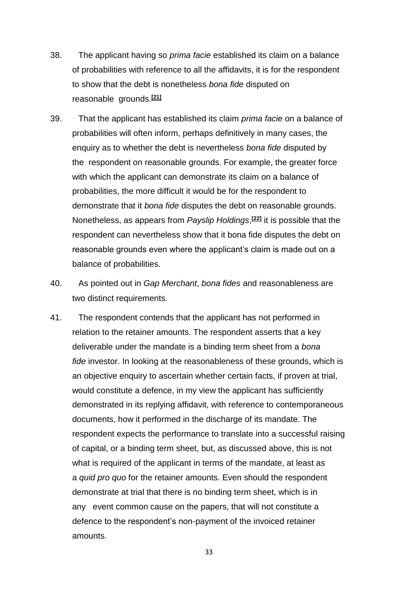- 38. The applicant having so *prima facie* established its claim on a balance of probabilities with reference to all the affidavits, it is for the respondent to show that the debt is nonetheless *bona fide* disputed on reasonable grounds.**[\[21\]](http://www.saflii.org/za/cases/ZAGPJHC/2021/3.html#_ftn21)**
- 39. That the applicant has established its claim *prima facie* on a balance of probabilities will often inform, perhaps definitively in many cases, the enquiry as to whether the debt is nevertheless *bona fide* disputed by the respondent on reasonable grounds. For example, the greater force with which the applicant can demonstrate its claim on a balance of probabilities, the more difficult it would be for the respondent to demonstrate that it *bona fide* disputes the debt on reasonable grounds. Nonetheless, as appears from *Payslip Holdings*, **[\[22\]](http://www.saflii.org/za/cases/ZAGPJHC/2021/3.html#_ftn22)** it is possible that the respondent can nevertheless show that it bona fide disputes the debt on reasonable grounds even where the applicant's claim is made out on a balance of probabilities.
- 40. As pointed out in *Gap Merchant*, *bona fides* and reasonableness are two distinct requirements.
- 41. The respondent contends that the applicant has not performed in relation to the retainer amounts. The respondent asserts that a key deliverable under the mandate is a binding term sheet from a *bona fide* investor. In looking at the reasonableness of these grounds, which is an objective enquiry to ascertain whether certain facts, if proven at trial, would constitute a defence, in my view the applicant has sufficiently demonstrated in its replying affidavit, with reference to contemporaneous documents, how it performed in the discharge of its mandate. The respondent expects the performance to translate into a successful raising of capital, or a binding term sheet, but, as discussed above, this is not what is required of the applicant in terms of the mandate, at least as a *quid pro quo* for the retainer amounts. Even should the respondent demonstrate at trial that there is no binding term sheet, which is in any event common cause on the papers, that will not constitute a defence to the respondent's non-payment of the invoiced retainer amounts.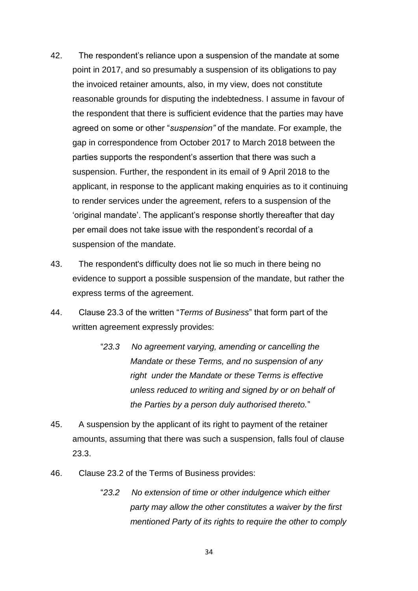- 42. The respondent's reliance upon a suspension of the mandate at some point in 2017, and so presumably a suspension of its obligations to pay the invoiced retainer amounts, also, in my view, does not constitute reasonable grounds for disputing the indebtedness. I assume in favour of the respondent that there is sufficient evidence that the parties may have agreed on some or other "*suspension"* of the mandate. For example, the gap in correspondence from October 2017 to March 2018 between the parties supports the respondent's assertion that there was such a suspension. Further, the respondent in its email of 9 April 2018 to the applicant, in response to the applicant making enquiries as to it continuing to render services under the agreement, refers to a suspension of the 'original mandate'. The applicant's response shortly thereafter that day per email does not take issue with the respondent's recordal of a suspension of the mandate.
- 43. The respondent's difficulty does not lie so much in there being no evidence to support a possible suspension of the mandate, but rather the express terms of the agreement.
- 44. Clause 23.3 of the written "*Terms of Business*" that form part of the written agreement expressly provides:
	- "*23.3 No agreement varying, amending or cancelling the Mandate or these Terms, and no suspension of any right under the Mandate or these Terms is effective unless reduced to writing and signed by or on behalf of the Parties by a person duly authorised thereto.*"
- 45. A suspension by the applicant of its right to payment of the retainer amounts, assuming that there was such a suspension, falls foul of clause 23.3.
- 46. Clause 23.2 of the Terms of Business provides:
	- "*23.2 No extension of time or other indulgence which either party may allow the other constitutes a waiver by the first mentioned Party of its rights to require the other to comply*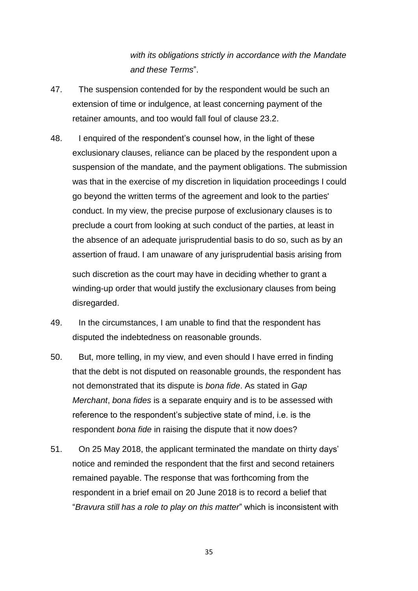*with its obligations strictly in accordance with the Mandate and these Terms*".

- 47. The suspension contended for by the respondent would be such an extension of time or indulgence, at least concerning payment of the retainer amounts, and too would fall foul of clause 23.2.
- 48. I enquired of the respondent's counsel how, in the light of these exclusionary clauses, reliance can be placed by the respondent upon a suspension of the mandate, and the payment obligations. The submission was that in the exercise of my discretion in liquidation proceedings I could go beyond the written terms of the agreement and look to the parties' conduct. In my view, the precise purpose of exclusionary clauses is to preclude a court from looking at such conduct of the parties, at least in the absence of an adequate jurisprudential basis to do so, such as by an assertion of fraud. I am unaware of any jurisprudential basis arising from

such discretion as the court may have in deciding whether to grant a winding-up order that would justify the exclusionary clauses from being disregarded.

- 49. In the circumstances, I am unable to find that the respondent has disputed the indebtedness on reasonable grounds.
- 50. But, more telling, in my view, and even should I have erred in finding that the debt is not disputed on reasonable grounds, the respondent has not demonstrated that its dispute is *bona fide*. As stated in *Gap Merchant*, *bona fides* is a separate enquiry and is to be assessed with reference to the respondent's subjective state of mind, i.e. is the respondent *bona fide* in raising the dispute that it now does?
- 51. On 25 May 2018, the applicant terminated the mandate on thirty days' notice and reminded the respondent that the first and second retainers remained payable. The response that was forthcoming from the respondent in a brief email on 20 June 2018 is to record a belief that "*Bravura still has a role to play on this matter*" which is inconsistent with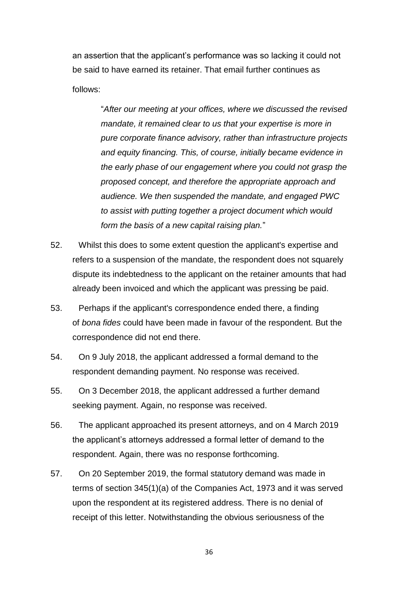an assertion that the applicant's performance was so lacking it could not be said to have earned its retainer. That email further continues as

follows:

"*After our meeting at your offices, where we discussed the revised mandate, it remained clear to us that your expertise is more in pure corporate finance advisory, rather than infrastructure projects and equity financing. This, of course, initially became evidence in the early phase of our engagement where you could not grasp the proposed concept, and therefore the appropriate approach and audience. We then suspended the mandate, and engaged PWC to assist with putting together a project document which would form the basis of a new capital raising plan.*"

- 52. Whilst this does to some extent question the applicant's expertise and refers to a suspension of the mandate, the respondent does not squarely dispute its indebtedness to the applicant on the retainer amounts that had already been invoiced and which the applicant was pressing be paid.
- 53. Perhaps if the applicant's correspondence ended there, a finding of *bona fides* could have been made in favour of the respondent. But the correspondence did not end there.
- 54. On 9 July 2018, the applicant addressed a formal demand to the respondent demanding payment. No response was received.
- 55. On 3 December 2018, the applicant addressed a further demand seeking payment. Again, no response was received.
- 56. The applicant approached its present attorneys, and on 4 March 2019 the applicant's attorneys addressed a formal letter of demand to the respondent. Again, there was no response forthcoming.
- 57. On 20 September 2019, the formal statutory demand was made in terms of section 345(1)(a) of the Companies Act, 1973 and it was served upon the respondent at its registered address. There is no denial of receipt of this letter. Notwithstanding the obvious seriousness of the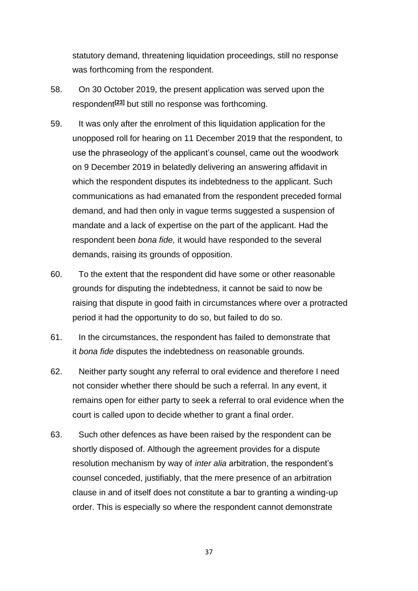statutory demand, threatening liquidation proceedings, still no response was forthcoming from the respondent.

- 58. On 30 October 2019, the present application was served upon the respondent**[\[23\]](http://www.saflii.org/za/cases/ZAGPJHC/2021/3.html#_ftn23)** but still no response was forthcoming.
- 59. It was only after the enrolment of this liquidation application for the unopposed roll for hearing on 11 December 2019 that the respondent, to use the phraseology of the applicant's counsel, came out the woodwork on 9 December 2019 in belatedly delivering an answering affidavit in which the respondent disputes its indebtedness to the applicant. Such communications as had emanated from the respondent preceded formal demand, and had then only in vague terms suggested a suspension of mandate and a lack of expertise on the part of the applicant. Had the respondent been *bona fide,* it would have responded to the several demands, raising its grounds of opposition.
- 60. To the extent that the respondent did have some or other reasonable grounds for disputing the indebtedness, it cannot be said to now be raising that dispute in good faith in circumstances where over a protracted period it had the opportunity to do so, but failed to do so.
- 61. In the circumstances, the respondent has failed to demonstrate that it *bona fide* disputes the indebtedness on reasonable grounds.
- 62. Neither party sought any referral to oral evidence and therefore I need not consider whether there should be such a referral. In any event, it remains open for either party to seek a referral to oral evidence when the court is called upon to decide whether to grant a final order.
- 63. Such other defences as have been raised by the respondent can be shortly disposed of. Although the agreement provides for a dispute resolution mechanism by way of *inter alia* arbitration, the respondent's counsel conceded, justifiably, that the mere presence of an arbitration clause in and of itself does not constitute a bar to granting a winding-up order. This is especially so where the respondent cannot demonstrate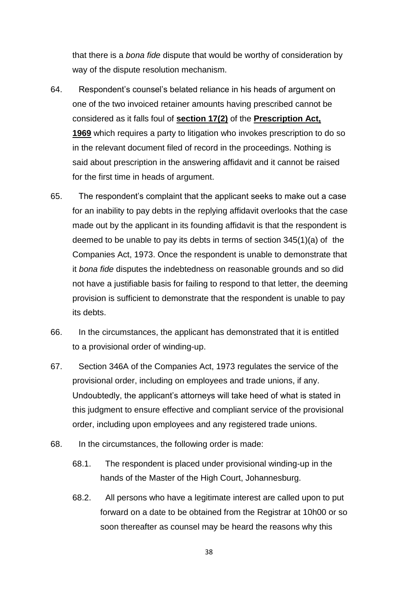that there is a *bona fide* dispute that would be worthy of consideration by way of the dispute resolution mechanism.

- 64. Respondent's counsel's belated reliance in his heads of argument on one of the two invoiced retainer amounts having prescribed cannot be considered as it falls foul of **[section 17\(2\)](http://www.saflii.org/za/legis/consol_act/pa1969171/index.html#s17)** of the **[Prescription Act,](http://www.saflii.org/za/legis/consol_act/pa1969171/)  [1969](http://www.saflii.org/za/legis/consol_act/pa1969171/)** which requires a party to litigation who invokes prescription to do so in the relevant document filed of record in the proceedings. Nothing is said about prescription in the answering affidavit and it cannot be raised for the first time in heads of argument.
- 65. The respondent's complaint that the applicant seeks to make out a case for an inability to pay debts in the replying affidavit overlooks that the case made out by the applicant in its founding affidavit is that the respondent is deemed to be unable to pay its debts in terms of section 345(1)(a) of the Companies Act, 1973. Once the respondent is unable to demonstrate that it *bona fide* disputes the indebtedness on reasonable grounds and so did not have a justifiable basis for failing to respond to that letter, the deeming provision is sufficient to demonstrate that the respondent is unable to pay its debts.
- 66. In the circumstances, the applicant has demonstrated that it is entitled to a provisional order of winding-up.
- 67. Section 346A of the Companies Act, 1973 regulates the service of the provisional order, including on employees and trade unions, if any. Undoubtedly, the applicant's attorneys will take heed of what is stated in this judgment to ensure effective and compliant service of the provisional order, including upon employees and any registered trade unions.
- 68. In the circumstances, the following order is made:
	- 68.1. The respondent is placed under provisional winding-up in the hands of the Master of the High Court, Johannesburg.
	- 68.2. All persons who have a legitimate interest are called upon to put forward on a date to be obtained from the Registrar at 10h00 or so soon thereafter as counsel may be heard the reasons why this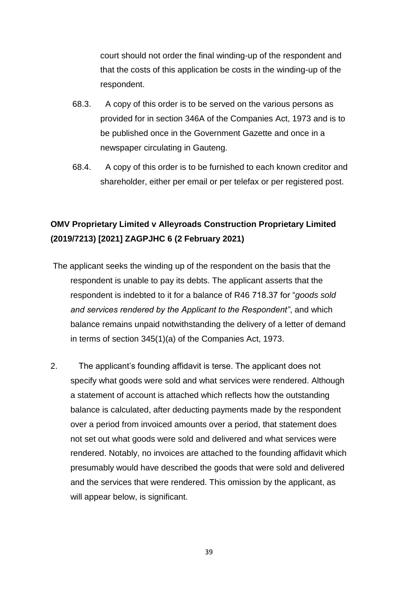court should not order the final winding-up of the respondent and that the costs of this application be costs in the winding-up of the respondent.

- 68.3. A copy of this order is to be served on the various persons as provided for in section 346A of the Companies Act, 1973 and is to be published once in the Government Gazette and once in a newspaper circulating in Gauteng.
- 68.4. A copy of this order is to be furnished to each known creditor and shareholder, either per email or per telefax or per registered post.

## **OMV Proprietary Limited v Alleyroads Construction Proprietary Limited (2019/7213) [2021] ZAGPJHC 6 (2 February 2021)**

- The applicant seeks the winding up of the respondent on the basis that the respondent is unable to pay its debts. The applicant asserts that the respondent is indebted to it for a balance of R46 718.37 for "*goods sold and services rendered by the Applicant to the Respondent"*, and which balance remains unpaid notwithstanding the delivery of a letter of demand in terms of section 345(1)(a) of the Companies Act, 1973.
- 2. The applicant's founding affidavit is terse. The applicant does not specify what goods were sold and what services were rendered. Although a statement of account is attached which reflects how the outstanding balance is calculated, after deducting payments made by the respondent over a period from invoiced amounts over a period, that statement does not set out what goods were sold and delivered and what services were rendered. Notably, no invoices are attached to the founding affidavit which presumably would have described the goods that were sold and delivered and the services that were rendered. This omission by the applicant, as will appear below, is significant.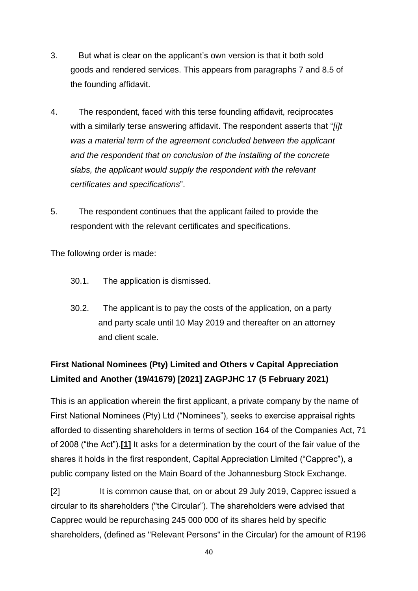- 3. But what is clear on the applicant's own version is that it both sold goods and rendered services. This appears from paragraphs 7 and 8.5 of the founding affidavit.
- 4. The respondent, faced with this terse founding affidavit, reciprocates with a similarly terse answering affidavit. The respondent asserts that "*[i]t was a material term of the agreement concluded between the applicant and the respondent that on conclusion of the installing of the concrete slabs, the applicant would supply the respondent with the relevant certificates and specifications*".
- 5. The respondent continues that the applicant failed to provide the respondent with the relevant certificates and specifications.

The following order is made:

- 30.1. The application is dismissed.
- 30.2. The applicant is to pay the costs of the application, on a party and party scale until 10 May 2019 and thereafter on an attorney and client scale.

# **First National Nominees (Pty) Limited and Others v Capital Appreciation Limited and Another (19/41679) [2021] ZAGPJHC 17 (5 February 2021)**

This is an application wherein the first applicant, a private company by the name of First National Nominees (Pty) Ltd ("Nominees"), seeks to exercise appraisal rights afforded to dissenting shareholders in terms of section 164 of the Companies Act, 71 of 2008 ("the Act").**[\[1\]](http://www.saflii.org/za/cases/ZAGPJHC/2021/17.html#_ftn1)** It asks for a determination by the court of the fair value of the shares it holds in the first respondent, Capital Appreciation Limited ("Capprec"), a public company listed on the Main Board of the Johannesburg Stock Exchange.

[2] It is common cause that, on or about 29 July 2019, Capprec issued a circular to its shareholders ("the Circular"). The shareholders were advised that Capprec would be repurchasing 245 000 000 of its shares held by specific shareholders, (defined as "Relevant Persons" in the Circular) for the amount of R196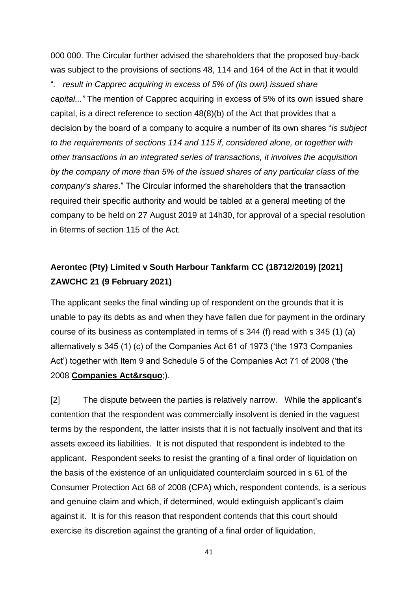000 000. The Circular further advised the shareholders that the proposed buy-back was subject to the provisions of sections 48, 114 and 164 of the Act in that it would

"*. result in Capprec acquiring in excess of 5% of (its own) issued share capital..."* The mention of Capprec acquiring in excess of 5% of its own issued share capital, is a direct reference to section 48(8)(b) of the Act that provides that a decision by the board of a company to acquire a number of its own shares "*is subject to the requirements of sections 114 and 115 if, considered alone, or together with other transactions in an integrated series of transactions, it involves the acquisition by the company of more than 5% of the issued shares of any particular class of the company's shares*." The Circular informed the shareholders that the transaction required their specific authority and would be tabled at a general meeting of the company to be held on 27 August 2019 at 14h30, for approval of a special resolution in 6terms of section 115 of the Act.

## **Aerontec (Pty) Limited v South Harbour Tankfarm CC (18712/2019) [2021] ZAWCHC 21 (9 February 2021)**

The applicant seeks the final winding up of respondent on the grounds that it is unable to pay its debts as and when they have fallen due for payment in the ordinary course of its business as contemplated in terms of s 344 (f) read with s 345 (1) (a) alternatively s 345 (1) (c) of the Companies Act 61 of 1973 ('the 1973 Companies Act') together with Item 9 and Schedule 5 of the Companies Act 71 of 2008 ('the 2008 **[Companies Act&rsquo](http://www.saflii.org/za/legis/consol_act/ca2008107/)**;).

[2] The dispute between the parties is relatively narrow. While the applicant's contention that the respondent was commercially insolvent is denied in the vaguest terms by the respondent, the latter insists that it is not factually insolvent and that its assets exceed its liabilities. It is not disputed that respondent is indebted to the applicant. Respondent seeks to resist the granting of a final order of liquidation on the basis of the existence of an unliquidated counterclaim sourced in s 61 of the Consumer Protection Act 68 of 2008 (CPA) which, respondent contends, is a serious and genuine claim and which, if determined, would extinguish applicant's claim against it. It is for this reason that respondent contends that this court should exercise its discretion against the granting of a final order of liquidation,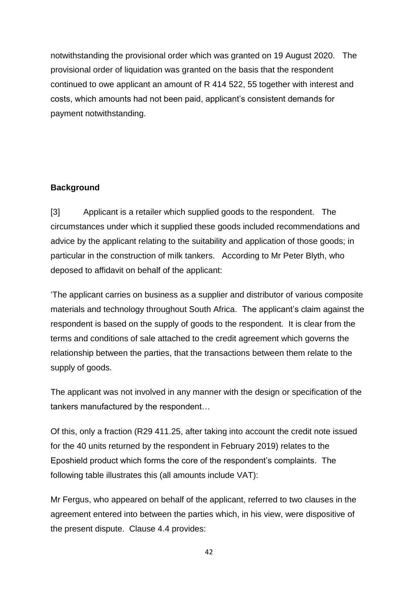notwithstanding the provisional order which was granted on 19 August 2020. The provisional order of liquidation was granted on the basis that the respondent continued to owe applicant an amount of R 414 522, 55 together with interest and costs, which amounts had not been paid, applicant's consistent demands for payment notwithstanding.

#### **Background**

[3] Applicant is a retailer which supplied goods to the respondent. The circumstances under which it supplied these goods included recommendations and advice by the applicant relating to the suitability and application of those goods; in particular in the construction of milk tankers. According to Mr Peter Blyth, who deposed to affidavit on behalf of the applicant:

'The applicant carries on business as a supplier and distributor of various composite materials and technology throughout South Africa. The applicant's claim against the respondent is based on the supply of goods to the respondent. It is clear from the terms and conditions of sale attached to the credit agreement which governs the relationship between the parties, that the transactions between them relate to the supply of goods.

The applicant was not involved in any manner with the design or specification of the tankers manufactured by the respondent…

Of this, only a fraction (R29 411.25, after taking into account the credit note issued for the 40 units returned by the respondent in February 2019) relates to the Eposhield product which forms the core of the respondent's complaints. The following table illustrates this (all amounts include VAT):

Mr Fergus, who appeared on behalf of the applicant, referred to two clauses in the agreement entered into between the parties which, in his view, were dispositive of the present dispute. Clause 4.4 provides: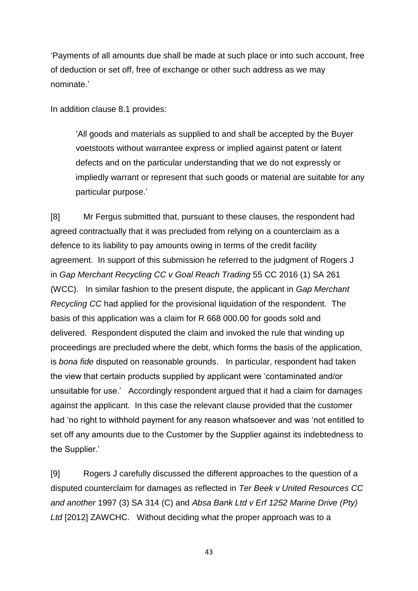'Payments of all amounts due shall be made at such place or into such account, free of deduction or set off, free of exchange or other such address as we may nominate.'

In addition clause 8.1 provides:

'All goods and materials as supplied to and shall be accepted by the Buyer voetstoots without warrantee express or implied against patent or latent defects and on the particular understanding that we do not expressly or impliedly warrant or represent that such goods or material are suitable for any particular purpose.'

[8] Mr Fergus submitted that, pursuant to these clauses, the respondent had agreed contractually that it was precluded from relying on a counterclaim as a defence to its liability to pay amounts owing in terms of the credit facility agreement. In support of this submission he referred to the judgment of Rogers J in *Gap Merchant Recycling CC v Goal Reach Trading* 55 CC 2016 (1) SA 261 (WCC). In similar fashion to the present dispute, the applicant in *Gap Merchant Recycling CC* had applied for the provisional liquidation of the respondent. The basis of this application was a claim for R 668 000.00 for goods sold and delivered. Respondent disputed the claim and invoked the rule that winding up proceedings are precluded where the debt, which forms the basis of the application, is *bona fide* disputed on reasonable grounds. In particular, respondent had taken the view that certain products supplied by applicant were 'contaminated and/or unsuitable for use.' Accordingly respondent argued that it had a claim for damages against the applicant. In this case the relevant clause provided that the customer had 'no right to withhold payment for any reason whatsoever and was 'not entitled to set off any amounts due to the Customer by the Supplier against its indebtedness to the Supplier.'

[9] Rogers J carefully discussed the different approaches to the question of a disputed counterclaim for damages as reflected in *Ter Beek v United Resources CC and another* 1997 (3) SA 314 (C) and *Absa Bank Ltd v Erf 1252 Marine Drive (Pty) Ltd* [2012] ZAWCHC. Without deciding what the proper approach was to a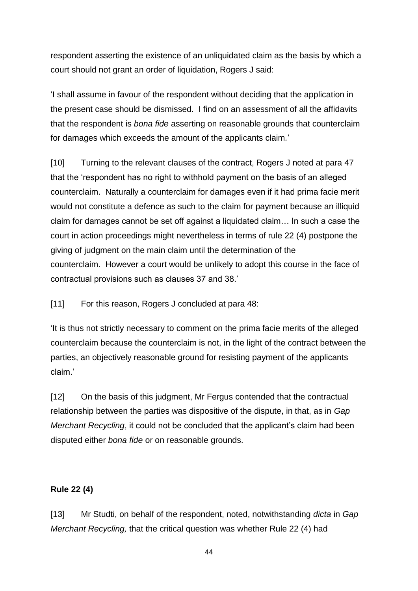respondent asserting the existence of an unliquidated claim as the basis by which a court should not grant an order of liquidation, Rogers J said:

'I shall assume in favour of the respondent without deciding that the application in the present case should be dismissed. I find on an assessment of all the affidavits that the respondent is *bona fide* asserting on reasonable grounds that counterclaim for damages which exceeds the amount of the applicants claim*.*'

[10] Turning to the relevant clauses of the contract, Rogers J noted at para 47 that the 'respondent has no right to withhold payment on the basis of an alleged counterclaim. Naturally a counterclaim for damages even if it had prima facie merit would not constitute a defence as such to the claim for payment because an illiquid claim for damages cannot be set off against a liquidated claim… In such a case the court in action proceedings might nevertheless in terms of rule 22 (4) postpone the giving of judgment on the main claim until the determination of the counterclaim. However a court would be unlikely to adopt this course in the face of contractual provisions such as clauses 37 and 38.'

[11] For this reason, Rogers J concluded at para 48:

'It is thus not strictly necessary to comment on the prima facie merits of the alleged counterclaim because the counterclaim is not, in the light of the contract between the parties, an objectively reasonable ground for resisting payment of the applicants claim.'

[12] On the basis of this judgment, Mr Fergus contended that the contractual relationship between the parties was dispositive of the dispute, in that, as in *Gap Merchant Recycling*, it could not be concluded that the applicant's claim had been disputed either *bona fide* or on reasonable grounds.

#### **Rule 22 (4)**

[13] Mr Studti, on behalf of the respondent, noted, notwithstanding *dicta* in *Gap Merchant Recycling,* that the critical question was whether Rule 22 (4) had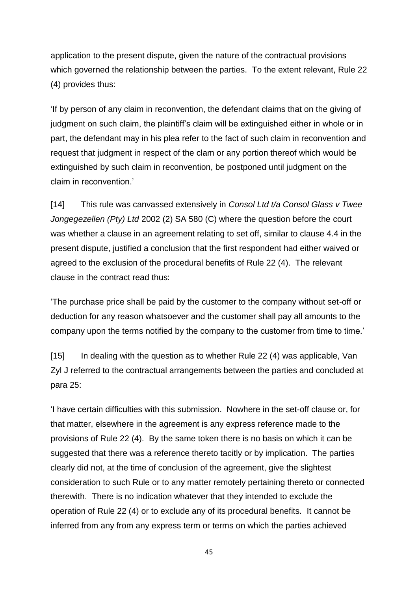application to the present dispute, given the nature of the contractual provisions which governed the relationship between the parties. To the extent relevant, Rule 22 (4) provides thus:

'If by person of any claim in reconvention, the defendant claims that on the giving of judgment on such claim, the plaintiff's claim will be extinguished either in whole or in part, the defendant may in his plea refer to the fact of such claim in reconvention and request that judgment in respect of the clam or any portion thereof which would be extinguished by such claim in reconvention, be postponed until judgment on the claim in reconvention.'

[14] This rule was canvassed extensively in *Consol Ltd t/a Consol Glass v Twee Jongegezellen (Pty) Ltd* 2002 (2) SA 580 (C) where the question before the court was whether a clause in an agreement relating to set off, similar to clause 4.4 in the present dispute, justified a conclusion that the first respondent had either waived or agreed to the exclusion of the procedural benefits of Rule 22 (4). The relevant clause in the contract read thus:

'The purchase price shall be paid by the customer to the company without set-off or deduction for any reason whatsoever and the customer shall pay all amounts to the company upon the terms notified by the company to the customer from time to time.'

[15] In dealing with the question as to whether Rule 22 (4) was applicable, Van Zyl J referred to the contractual arrangements between the parties and concluded at para 25:

'I have certain difficulties with this submission. Nowhere in the set-off clause or, for that matter, elsewhere in the agreement is any express reference made to the provisions of Rule 22 (4). By the same token there is no basis on which it can be suggested that there was a reference thereto tacitly or by implication. The parties clearly did not, at the time of conclusion of the agreement, give the slightest consideration to such Rule or to any matter remotely pertaining thereto or connected therewith. There is no indication whatever that they intended to exclude the operation of Rule 22 (4) or to exclude any of its procedural benefits. It cannot be inferred from any from any express term or terms on which the parties achieved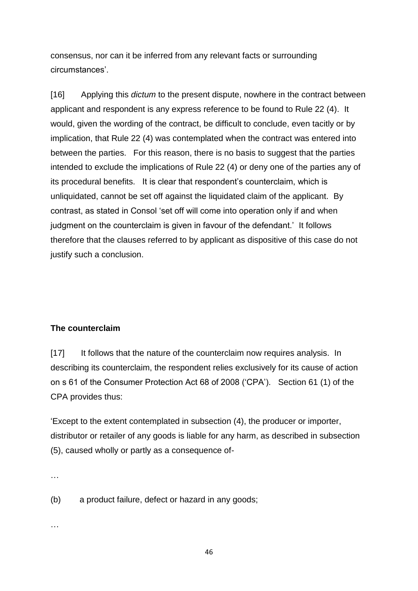consensus, nor can it be inferred from any relevant facts or surrounding circumstances'.

[16] Applying this *dictum* to the present dispute, nowhere in the contract between applicant and respondent is any express reference to be found to Rule 22 (4). It would, given the wording of the contract, be difficult to conclude, even tacitly or by implication, that Rule 22 (4) was contemplated when the contract was entered into between the parties. For this reason, there is no basis to suggest that the parties intended to exclude the implications of Rule 22 (4) or deny one of the parties any of its procedural benefits. It is clear that respondent's counterclaim, which is unliquidated, cannot be set off against the liquidated claim of the applicant. By contrast, as stated in Consol 'set off will come into operation only if and when judgment on the counterclaim is given in favour of the defendant.' It follows therefore that the clauses referred to by applicant as dispositive of this case do not justify such a conclusion.

#### **The counterclaim**

[17] It follows that the nature of the counterclaim now requires analysis. In describing its counterclaim, the respondent relies exclusively for its cause of action on s 61 of the Consumer Protection Act 68 of 2008 ('CPA'). Section 61 (1) of the CPA provides thus:

'Except to the extent contemplated in subsection (4), the producer or importer, distributor or retailer of any goods is liable for any harm, as described in subsection (5), caused wholly or partly as a consequence of-

…

(b) a product failure, defect or hazard in any goods;

…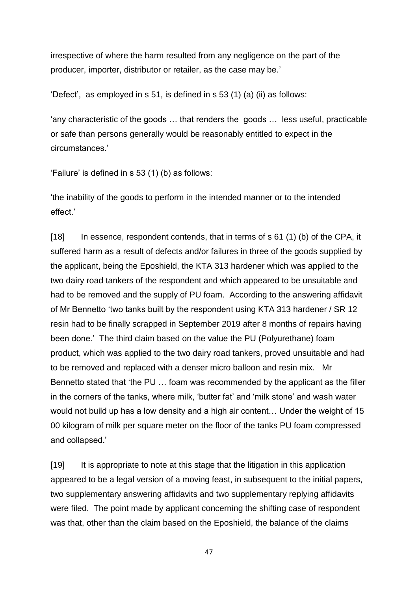irrespective of where the harm resulted from any negligence on the part of the producer, importer, distributor or retailer, as the case may be.'

'Defect', as employed in s 51, is defined in s 53 (1) (a) (ii) as follows:

'any characteristic of the goods … that renders the goods … less useful, practicable or safe than persons generally would be reasonably entitled to expect in the circumstances.'

'Failure' is defined in s 53 (1) (b) as follows:

'the inability of the goods to perform in the intended manner or to the intended effect.'

[18] In essence, respondent contends, that in terms of s 61 (1) (b) of the CPA, it suffered harm as a result of defects and/or failures in three of the goods supplied by the applicant, being the Eposhield, the KTA 313 hardener which was applied to the two dairy road tankers of the respondent and which appeared to be unsuitable and had to be removed and the supply of PU foam. According to the answering affidavit of Mr Bennetto 'two tanks built by the respondent using KTA 313 hardener / SR 12 resin had to be finally scrapped in September 2019 after 8 months of repairs having been done.' The third claim based on the value the PU (Polyurethane) foam product, which was applied to the two dairy road tankers, proved unsuitable and had to be removed and replaced with a denser micro balloon and resin mix. Mr Bennetto stated that 'the PU … foam was recommended by the applicant as the filler in the corners of the tanks, where milk, 'butter fat' and 'milk stone' and wash water would not build up has a low density and a high air content… Under the weight of 15 00 kilogram of milk per square meter on the floor of the tanks PU foam compressed and collapsed.'

[19] It is appropriate to note at this stage that the litigation in this application appeared to be a legal version of a moving feast, in subsequent to the initial papers, two supplementary answering affidavits and two supplementary replying affidavits were filed. The point made by applicant concerning the shifting case of respondent was that, other than the claim based on the Eposhield, the balance of the claims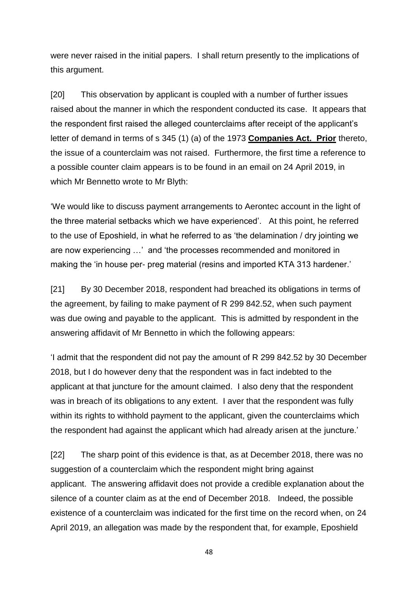were never raised in the initial papers. I shall return presently to the implications of this argument.

[20] This observation by applicant is coupled with a number of further issues raised about the manner in which the respondent conducted its case. It appears that the respondent first raised the alleged counterclaims after receipt of the applicant's letter of demand in terms of s 345 (1) (a) of the 1973 **[Companies Act.](http://www.saflii.org/za/legis/consol_act/ca2008107/) Prior** thereto, the issue of a counterclaim was not raised. Furthermore, the first time a reference to a possible counter claim appears is to be found in an email on 24 April 2019, in which Mr Bennetto wrote to Mr Blyth:

'We would like to discuss payment arrangements to Aerontec account in the light of the three material setbacks which we have experienced'. At this point, he referred to the use of Eposhield, in what he referred to as 'the delamination / dry jointing we are now experiencing …' and 'the processes recommended and monitored in making the 'in house per- preg material (resins and imported KTA 313 hardener.'

[21] By 30 December 2018, respondent had breached its obligations in terms of the agreement, by failing to make payment of R 299 842.52, when such payment was due owing and payable to the applicant. This is admitted by respondent in the answering affidavit of Mr Bennetto in which the following appears:

'I admit that the respondent did not pay the amount of R 299 842.52 by 30 December 2018, but I do however deny that the respondent was in fact indebted to the applicant at that juncture for the amount claimed. I also deny that the respondent was in breach of its obligations to any extent. I aver that the respondent was fully within its rights to withhold payment to the applicant, given the counterclaims which the respondent had against the applicant which had already arisen at the juncture.'

[22] The sharp point of this evidence is that, as at December 2018, there was no suggestion of a counterclaim which the respondent might bring against applicant. The answering affidavit does not provide a credible explanation about the silence of a counter claim as at the end of December 2018. Indeed, the possible existence of a counterclaim was indicated for the first time on the record when, on 24 April 2019, an allegation was made by the respondent that, for example, Eposhield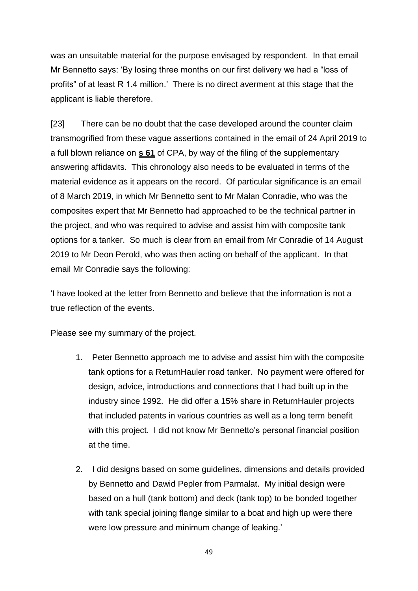was an unsuitable material for the purpose envisaged by respondent. In that email Mr Bennetto says: 'By losing three months on our first delivery we had a "loss of profits" of at least R 1.4 million.' There is no direct averment at this stage that the applicant is liable therefore.

[23] There can be no doubt that the case developed around the counter claim transmogrified from these vague assertions contained in the email of 24 April 2019 to a full blown reliance on **[s 61](http://www.saflii.org/za/legis/consol_act/ca2008107/index.html#s61)** of CPA, by way of the filing of the supplementary answering affidavits. This chronology also needs to be evaluated in terms of the material evidence as it appears on the record. Of particular significance is an email of 8 March 2019, in which Mr Bennetto sent to Mr Malan Conradie, who was the composites expert that Mr Bennetto had approached to be the technical partner in the project, and who was required to advise and assist him with composite tank options for a tanker. So much is clear from an email from Mr Conradie of 14 August 2019 to Mr Deon Perold, who was then acting on behalf of the applicant. In that email Mr Conradie says the following:

'I have looked at the letter from Bennetto and believe that the information is not a true reflection of the events.

Please see my summary of the project.

- 1. Peter Bennetto approach me to advise and assist him with the composite tank options for a ReturnHauler road tanker. No payment were offered for design, advice, introductions and connections that I had built up in the industry since 1992. He did offer a 15% share in ReturnHauler projects that included patents in various countries as well as a long term benefit with this project. I did not know Mr Bennetto's personal financial position at the time.
- 2. I did designs based on some guidelines, dimensions and details provided by Bennetto and Dawid Pepler from Parmalat. My initial design were based on a hull (tank bottom) and deck (tank top) to be bonded together with tank special joining flange similar to a boat and high up were there were low pressure and minimum change of leaking.'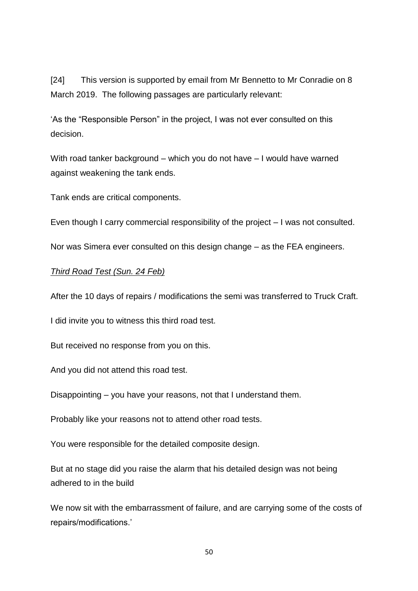[24] This version is supported by email from Mr Bennetto to Mr Conradie on 8 March 2019. The following passages are particularly relevant:

'As the "Responsible Person" in the project, I was not ever consulted on this decision.

With road tanker background – which you do not have – I would have warned against weakening the tank ends.

Tank ends are critical components.

Even though I carry commercial responsibility of the project – I was not consulted.

Nor was Simera ever consulted on this design change – as the FEA engineers.

#### *Third Road Test (Sun. 24 Feb)*

After the 10 days of repairs / modifications the semi was transferred to Truck Craft.

I did invite you to witness this third road test.

But received no response from you on this.

And you did not attend this road test.

Disappointing – you have your reasons, not that I understand them.

Probably like your reasons not to attend other road tests.

You were responsible for the detailed composite design.

But at no stage did you raise the alarm that his detailed design was not being adhered to in the build

We now sit with the embarrassment of failure, and are carrying some of the costs of repairs/modifications.'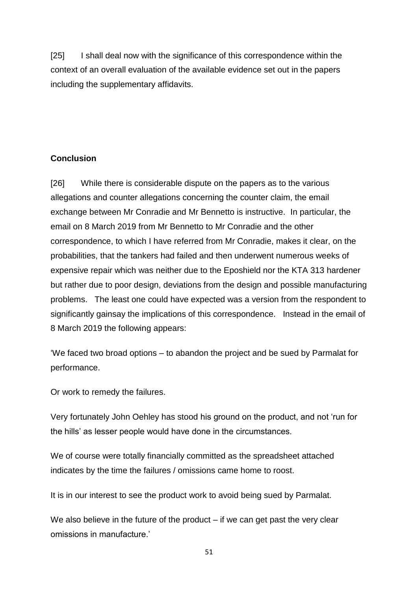[25] I shall deal now with the significance of this correspondence within the context of an overall evaluation of the available evidence set out in the papers including the supplementary affidavits.

### **Conclusion**

[26] While there is considerable dispute on the papers as to the various allegations and counter allegations concerning the counter claim, the email exchange between Mr Conradie and Mr Bennetto is instructive. In particular, the email on 8 March 2019 from Mr Bennetto to Mr Conradie and the other correspondence, to which I have referred from Mr Conradie, makes it clear, on the probabilities, that the tankers had failed and then underwent numerous weeks of expensive repair which was neither due to the Eposhield nor the KTA 313 hardener but rather due to poor design, deviations from the design and possible manufacturing problems. The least one could have expected was a version from the respondent to significantly gainsay the implications of this correspondence. Instead in the email of 8 March 2019 the following appears:

'We faced two broad options – to abandon the project and be sued by Parmalat for performance.

Or work to remedy the failures.

Very fortunately John Oehley has stood his ground on the product, and not 'run for the hills' as lesser people would have done in the circumstances.

We of course were totally financially committed as the spreadsheet attached indicates by the time the failures / omissions came home to roost.

It is in our interest to see the product work to avoid being sued by Parmalat.

We also believe in the future of the product  $-$  if we can get past the very clear omissions in manufacture.'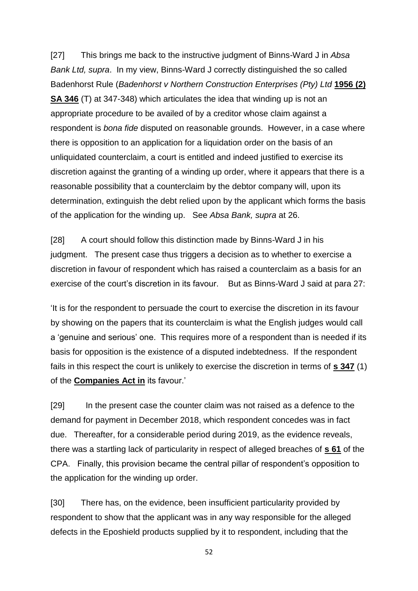[27] This brings me back to the instructive judgment of Binns-Ward J in *Absa Bank Ltd, supra*. In my view, Binns-Ward J correctly distinguished the so called Badenhorst Rule (*Badenhorst v Northern Construction Enterprises (Pty) Ltd* **[1956 \(2\)](http://www.saflii.org/cgi-bin/LawCite?cit=1956%20%282%29%20SA%20346)  [SA 346](http://www.saflii.org/cgi-bin/LawCite?cit=1956%20%282%29%20SA%20346)** (T) at 347-348) which articulates the idea that winding up is not an appropriate procedure to be availed of by a creditor whose claim against a respondent is *bona fide* disputed on reasonable grounds. However, in a case where there is opposition to an application for a liquidation order on the basis of an unliquidated counterclaim, a court is entitled and indeed justified to exercise its discretion against the granting of a winding up order, where it appears that there is a reasonable possibility that a counterclaim by the debtor company will, upon its determination, extinguish the debt relied upon by the applicant which forms the basis of the application for the winding up. See *Absa Bank, supra* at 26.

[28] A court should follow this distinction made by Binns-Ward J in his judgment. The present case thus triggers a decision as to whether to exercise a discretion in favour of respondent which has raised a counterclaim as a basis for an exercise of the court's discretion in its favour. But as Binns-Ward J said at para 27:

'It is for the respondent to persuade the court to exercise the discretion in its favour by showing on the papers that its counterclaim is what the English judges would call a 'genuine and serious' one. This requires more of a respondent than is needed if its basis for opposition is the existence of a disputed indebtedness. If the respondent fails in this respect the court is unlikely to exercise the discretion in terms of **[s 347](http://www.saflii.org/za/legis/consol_act/ca2008107/index.html#s347)** (1) of the **[Companies Act in](http://www.saflii.org/za/legis/consol_act/ca2008107/)** its favour.'

[29] In the present case the counter claim was not raised as a defence to the demand for payment in December 2018, which respondent concedes was in fact due. Thereafter, for a considerable period during 2019, as the evidence reveals, there was a startling lack of particularity in respect of alleged breaches of **[s 61](http://www.saflii.org/za/legis/consol_act/ca2008107/index.html#s61)** of the CPA. Finally, this provision became the central pillar of respondent's opposition to the application for the winding up order.

[30] There has, on the evidence, been insufficient particularity provided by respondent to show that the applicant was in any way responsible for the alleged defects in the Eposhield products supplied by it to respondent, including that the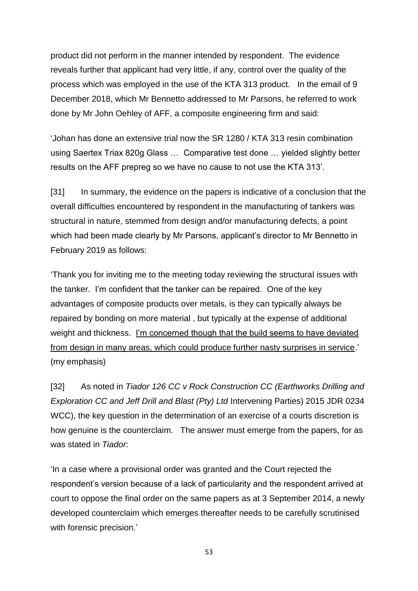product did not perform in the manner intended by respondent. The evidence reveals further that applicant had very little, if any, control over the quality of the process which was employed in the use of the KTA 313 product. In the email of 9 December 2018, which Mr Bennetto addressed to Mr Parsons, he referred to work done by Mr John Oehley of AFF, a composite engineering firm and said:

'Johan has done an extensive trial now the SR 1280 / KTA 313 resin combination using Saertex Triax 820g Glass … Comparative test done … yielded slightly better results on the AFF prepreg so we have no cause to not use the KTA 313'.

[31] In summary, the evidence on the papers is indicative of a conclusion that the overall difficulties encountered by respondent in the manufacturing of tankers was structural in nature, stemmed from design and/or manufacturing defects, a point which had been made clearly by Mr Parsons, applicant's director to Mr Bennetto in February 2019 as follows:

'Thank you for inviting me to the meeting today reviewing the structural issues with the tanker. I'm confident that the tanker can be repaired. One of the key advantages of composite products over metals, is they can typically always be repaired by bonding on more material , but typically at the expense of additional weight and thickness. I'm concerned though that the build seems to have deviated from design in many areas, which could produce further nasty surprises in service.' (my emphasis)

[32] As noted in *Tiador 126 CC v Rock Construction CC (Earthworks Drilling and Exploration CC and Jeff Drill and Blast (Pty) Ltd* Intervening Parties) 2015 JDR 0234 WCC), the key question in the determination of an exercise of a courts discretion is how genuine is the counterclaim. The answer must emerge from the papers, for as was stated in *Tiador*:

'In a case where a provisional order was granted and the Court rejected the respondent's version because of a lack of particularity and the respondent arrived at court to oppose the final order on the same papers as at 3 September 2014, a newly developed counterclaim which emerges thereafter needs to be carefully scrutinised with forensic precision.'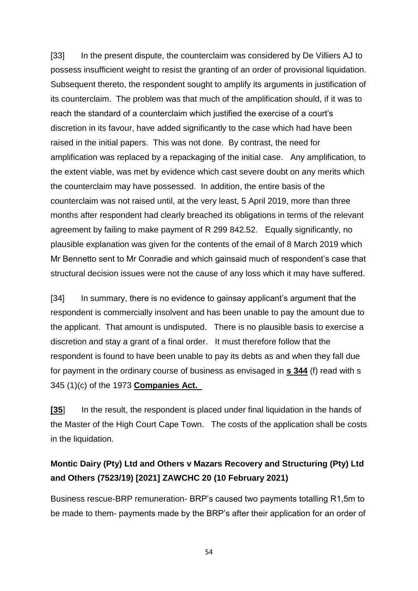[33] In the present dispute, the counterclaim was considered by De Villiers AJ to possess insufficient weight to resist the granting of an order of provisional liquidation. Subsequent thereto, the respondent sought to amplify its arguments in justification of its counterclaim. The problem was that much of the amplification should, if it was to reach the standard of a counterclaim which justified the exercise of a court's discretion in its favour, have added significantly to the case which had have been raised in the initial papers. This was not done. By contrast, the need for amplification was replaced by a repackaging of the initial case. Any amplification, to the extent viable, was met by evidence which cast severe doubt on any merits which the counterclaim may have possessed. In addition, the entire basis of the counterclaim was not raised until, at the very least, 5 April 2019, more than three months after respondent had clearly breached its obligations in terms of the relevant agreement by failing to make payment of R 299 842.52. Equally significantly, no plausible explanation was given for the contents of the email of 8 March 2019 which Mr Bennetto sent to Mr Conradie and which gainsaid much of respondent's case that structural decision issues were not the cause of any loss which it may have suffered.

[34] In summary, there is no evidence to gainsay applicant's argument that the respondent is commercially insolvent and has been unable to pay the amount due to the applicant. That amount is undisputed. There is no plausible basis to exercise a discretion and stay a grant of a final order. It must therefore follow that the respondent is found to have been unable to pay its debts as and when they fall due for payment in the ordinary course of business as envisaged in **[s 344](http://www.saflii.org/za/legis/consol_act/ca2008107/index.html#s344)** (f) read with s 345 (1)(c) of the 1973 **[Companies Act.](http://www.saflii.org/za/legis/consol_act/ca2008107/)** 

**[\[35](http://www.saflii.org/za/legis/consol_act/ca2008107/)**] In the result, the respondent is placed under final liquidation in the hands of the Master of the High Court Cape Town. The costs of the application shall be costs in the liquidation.

## **Montic Dairy (Pty) Ltd and Others v Mazars Recovery and Structuring (Pty) Ltd and Others (7523/19) [2021] ZAWCHC 20 (10 February 2021)**

Business rescue-BRP remuneration- BRP's caused two payments totalling R1,5m to be made to them- payments made by the BRP's after their application for an order of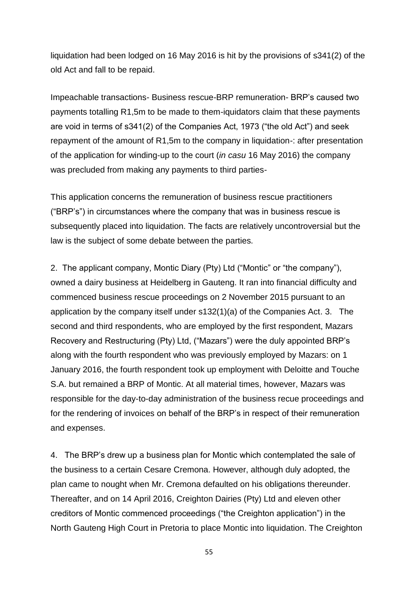liquidation had been lodged on 16 May 2016 is hit by the provisions of s341(2) of the old Act and fall to be repaid.

Impeachable transactions- Business rescue-BRP remuneration- BRP's caused two payments totalling R1,5m to be made to them-iquidators claim that these payments are void in terms of s341(2) of the Companies Act, 1973 ("the old Act") and seek repayment of the amount of R1,5m to the company in liquidation-: after presentation of the application for winding-up to the court (*in casu* 16 May 2016) the company was precluded from making any payments to third parties-

This application concerns the remuneration of business rescue practitioners ("BRP's") in circumstances where the company that was in business rescue is subsequently placed into liquidation. The facts are relatively uncontroversial but the law is the subject of some debate between the parties.

2. The applicant company, Montic Diary (Pty) Ltd ("Montic" or "the company"), owned a dairy business at Heidelberg in Gauteng. It ran into financial difficulty and commenced business rescue proceedings on 2 November 2015 pursuant to an application by the company itself under s132(1)(a) of the Companies Act. 3. The second and third respondents, who are employed by the first respondent, Mazars Recovery and Restructuring (Pty) Ltd, ("Mazars") were the duly appointed BRP's along with the fourth respondent who was previously employed by Mazars: on 1 January 2016, the fourth respondent took up employment with Deloitte and Touche S.A. but remained a BRP of Montic. At all material times, however, Mazars was responsible for the day-to-day administration of the business recue proceedings and for the rendering of invoices on behalf of the BRP's in respect of their remuneration and expenses.

4. The BRP's drew up a business plan for Montic which contemplated the sale of the business to a certain Cesare Cremona. However, although duly adopted, the plan came to nought when Mr. Cremona defaulted on his obligations thereunder. Thereafter, and on 14 April 2016, Creighton Dairies (Pty) Ltd and eleven other creditors of Montic commenced proceedings ("the Creighton application") in the North Gauteng High Court in Pretoria to place Montic into liquidation. The Creighton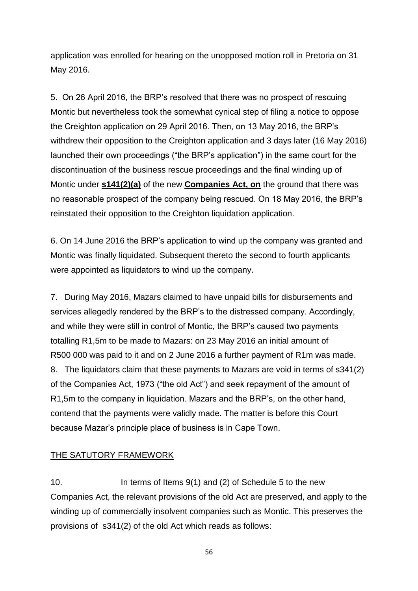application was enrolled for hearing on the unopposed motion roll in Pretoria on 31 May 2016.

5. On 26 April 2016, the BRP's resolved that there was no prospect of rescuing Montic but nevertheless took the somewhat cynical step of filing a notice to oppose the Creighton application on 29 April 2016. Then, on 13 May 2016, the BRP's withdrew their opposition to the Creighton application and 3 days later (16 May 2016) launched their own proceedings ("the BRP's application") in the same court for the discontinuation of the business rescue proceedings and the final winding up of Montic under **[s141\(2\)\(a\)](http://www.saflii.org/za/legis/consol_act/ca2008107/index.html#s141)** of the new **[Companies Act, on](http://www.saflii.org/za/legis/consol_act/ca2008107/)** the ground that there was no reasonable prospect of the company being rescued. On 18 May 2016, the BRP's reinstated their opposition to the Creighton liquidation application.

6. On 14 June 2016 the BRP's application to wind up the company was granted and Montic was finally liquidated. Subsequent thereto the second to fourth applicants were appointed as liquidators to wind up the company.

7. During May 2016, Mazars claimed to have unpaid bills for disbursements and services allegedly rendered by the BRP's to the distressed company. Accordingly, and while they were still in control of Montic, the BRP's caused two payments totalling R1,5m to be made to Mazars: on 23 May 2016 an initial amount of R500 000 was paid to it and on 2 June 2016 a further payment of R1m was made. 8. The liquidators claim that these payments to Mazars are void in terms of s341(2) of the Companies Act, 1973 ("the old Act") and seek repayment of the amount of R1,5m to the company in liquidation. Mazars and the BRP's, on the other hand, contend that the payments were validly made. The matter is before this Court because Mazar's principle place of business is in Cape Town.

#### THE SATUTORY FRAMEWORK

10. In terms of Items 9(1) and (2) of Schedule 5 to the new Companies Act, the relevant provisions of the old Act are preserved, and apply to the winding up of commercially insolvent companies such as Montic. This preserves the provisions of s341(2) of the old Act which reads as follows: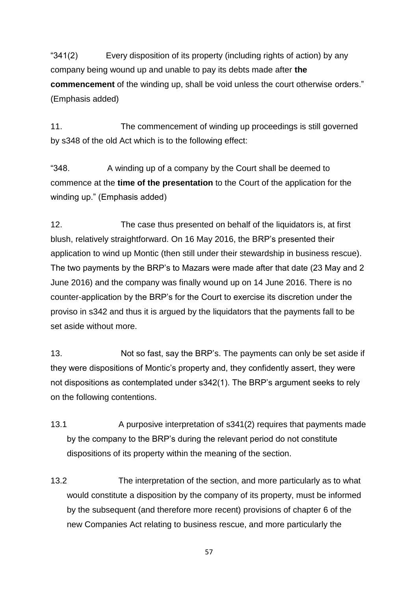"341(2) Every disposition of its property (including rights of action) by any company being wound up and unable to pay its debts made after **the commencement** of the winding up, shall be void unless the court otherwise orders." (Emphasis added)

11. The commencement of winding up proceedings is still governed by s348 of the old Act which is to the following effect:

"348. A winding up of a company by the Court shall be deemed to commence at the **time of the presentation** to the Court of the application for the winding up." (Emphasis added)

12. The case thus presented on behalf of the liquidators is, at first blush, relatively straightforward. On 16 May 2016, the BRP's presented their application to wind up Montic (then still under their stewardship in business rescue). The two payments by the BRP's to Mazars were made after that date (23 May and 2 June 2016) and the company was finally wound up on 14 June 2016. There is no counter-application by the BRP's for the Court to exercise its discretion under the proviso in s342 and thus it is argued by the liquidators that the payments fall to be set aside without more.

13. Not so fast, say the BRP's. The payments can only be set aside if they were dispositions of Montic's property and, they confidently assert, they were not dispositions as contemplated under s342(1). The BRP's argument seeks to rely on the following contentions.

- 13.1 A purposive interpretation of s341(2) requires that payments made by the company to the BRP's during the relevant period do not constitute dispositions of its property within the meaning of the section.
- 13.2 The interpretation of the section, and more particularly as to what would constitute a disposition by the company of its property, must be informed by the subsequent (and therefore more recent) provisions of chapter 6 of the new Companies Act relating to business rescue, and more particularly the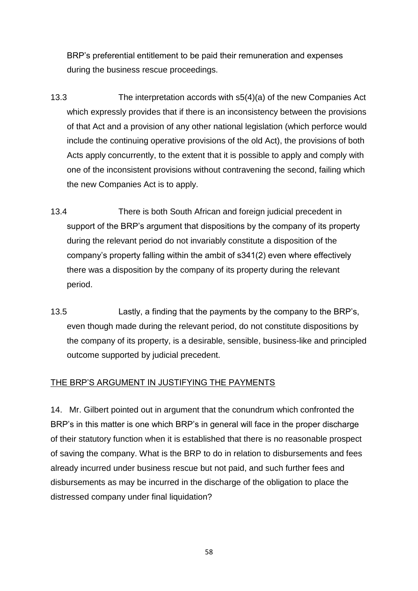BRP's preferential entitlement to be paid their remuneration and expenses during the business rescue proceedings.

- 13.3 The interpretation accords with s5(4)(a) of the new Companies Act which expressly provides that if there is an inconsistency between the provisions of that Act and a provision of any other national legislation (which perforce would include the continuing operative provisions of the old Act), the provisions of both Acts apply concurrently, to the extent that it is possible to apply and comply with one of the inconsistent provisions without contravening the second, failing which the new Companies Act is to apply.
- 13.4 There is both South African and foreign judicial precedent in support of the BRP's argument that dispositions by the company of its property during the relevant period do not invariably constitute a disposition of the company's property falling within the ambit of s341(2) even where effectively there was a disposition by the company of its property during the relevant period.
- 13.5 Lastly, a finding that the payments by the company to the BRP's, even though made during the relevant period, do not constitute dispositions by the company of its property, is a desirable, sensible, business-like and principled outcome supported by judicial precedent.

#### THE BRP'S ARGUMENT IN JUSTIFYING THE PAYMENTS

14. Mr. Gilbert pointed out in argument that the conundrum which confronted the BRP's in this matter is one which BRP's in general will face in the proper discharge of their statutory function when it is established that there is no reasonable prospect of saving the company. What is the BRP to do in relation to disbursements and fees already incurred under business rescue but not paid, and such further fees and disbursements as may be incurred in the discharge of the obligation to place the distressed company under final liquidation?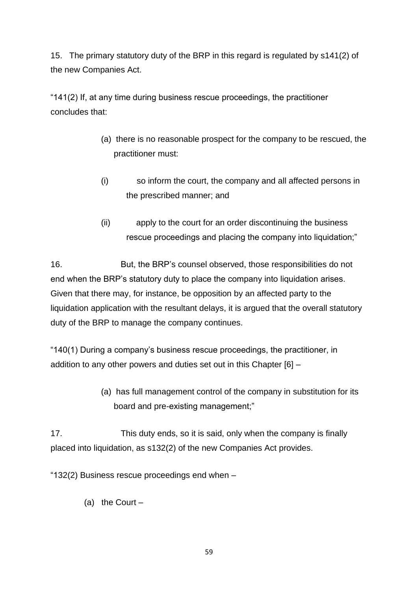15. The primary statutory duty of the BRP in this regard is regulated by s141(2) of the new Companies Act.

"141(2) If, at any time during business rescue proceedings, the practitioner concludes that:

- (a) there is no reasonable prospect for the company to be rescued, the practitioner must:
- (i) so inform the court, the company and all affected persons in the prescribed manner; and
- (ii) apply to the court for an order discontinuing the business rescue proceedings and placing the company into liquidation;"

16. But, the BRP's counsel observed, those responsibilities do not end when the BRP's statutory duty to place the company into liquidation arises. Given that there may, for instance, be opposition by an affected party to the liquidation application with the resultant delays, it is argued that the overall statutory duty of the BRP to manage the company continues.

"140(1) During a company's business rescue proceedings, the practitioner, in addition to any other powers and duties set out in this Chapter [6] –

> (a) has full management control of the company in substitution for its board and pre-existing management;"

17. This duty ends, so it is said, only when the company is finally placed into liquidation, as s132(2) of the new Companies Act provides.

"132(2) Business rescue proceedings end when –

(a) the Court –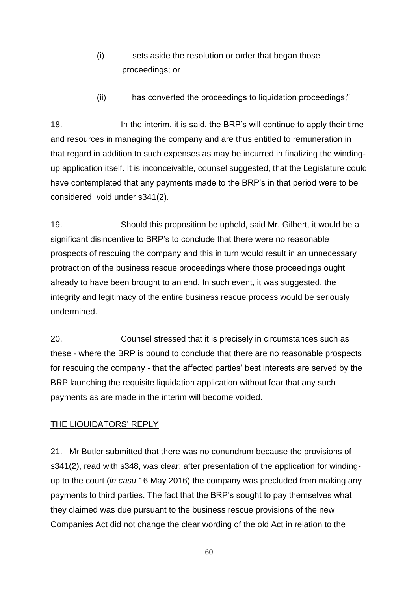- (i) sets aside the resolution or order that began those proceedings; or
- (ii) has converted the proceedings to liquidation proceedings;"

18. In the interim, it is said, the BRP's will continue to apply their time and resources in managing the company and are thus entitled to remuneration in that regard in addition to such expenses as may be incurred in finalizing the windingup application itself. It is inconceivable, counsel suggested, that the Legislature could have contemplated that any payments made to the BRP's in that period were to be considered void under s341(2).

19. Should this proposition be upheld, said Mr. Gilbert, it would be a significant disincentive to BRP's to conclude that there were no reasonable prospects of rescuing the company and this in turn would result in an unnecessary protraction of the business rescue proceedings where those proceedings ought already to have been brought to an end. In such event, it was suggested, the integrity and legitimacy of the entire business rescue process would be seriously undermined.

20. Counsel stressed that it is precisely in circumstances such as these - where the BRP is bound to conclude that there are no reasonable prospects for rescuing the company - that the affected parties' best interests are served by the BRP launching the requisite liquidation application without fear that any such payments as are made in the interim will become voided.

#### THE LIQUIDATORS' REPLY

21. Mr Butler submitted that there was no conundrum because the provisions of s341(2), read with s348, was clear: after presentation of the application for windingup to the court (*in casu* 16 May 2016) the company was precluded from making any payments to third parties. The fact that the BRP's sought to pay themselves what they claimed was due pursuant to the business rescue provisions of the new Companies Act did not change the clear wording of the old Act in relation to the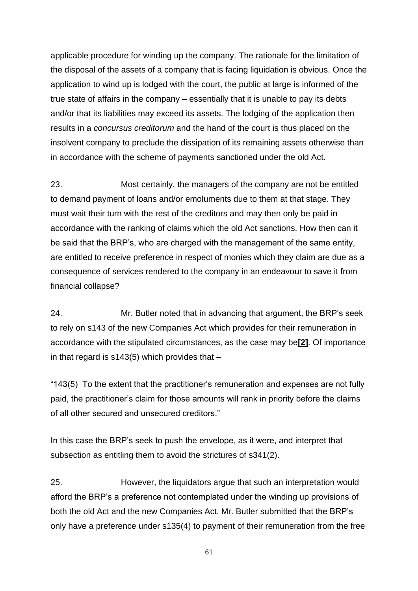applicable procedure for winding up the company. The rationale for the limitation of the disposal of the assets of a company that is facing liquidation is obvious. Once the application to wind up is lodged with the court, the public at large is informed of the true state of affairs in the company – essentially that it is unable to pay its debts and/or that its liabilities may exceed its assets. The lodging of the application then results in a *concursus creditorum* and the hand of the court is thus placed on the insolvent company to preclude the dissipation of its remaining assets otherwise than in accordance with the scheme of payments sanctioned under the old Act.

23. Most certainly, the managers of the company are not be entitled to demand payment of loans and/or emoluments due to them at that stage. They must wait their turn with the rest of the creditors and may then only be paid in accordance with the ranking of claims which the old Act sanctions. How then can it be said that the BRP's, who are charged with the management of the same entity, are entitled to receive preference in respect of monies which they claim are due as a consequence of services rendered to the company in an endeavour to save it from financial collapse?

24. Mr. Butler noted that in advancing that argument, the BRP's seek to rely on s143 of the new Companies Act which provides for their remuneration in accordance with the stipulated circumstances, as the case may be**[\[2\]](http://www.saflii.org/za/cases/ZAWCHC/2021/20.html#_ftn2)**. Of importance in that regard is  $s143(5)$  which provides that  $-$ 

"143(5) To the extent that the practitioner's remuneration and expenses are not fully paid, the practitioner's claim for those amounts will rank in priority before the claims of all other secured and unsecured creditors."

In this case the BRP's seek to push the envelope, as it were, and interpret that subsection as entitling them to avoid the strictures of s341(2).

25. However, the liquidators argue that such an interpretation would afford the BRP's a preference not contemplated under the winding up provisions of both the old Act and the new Companies Act. Mr. Butler submitted that the BRP's only have a preference under s135(4) to payment of their remuneration from the free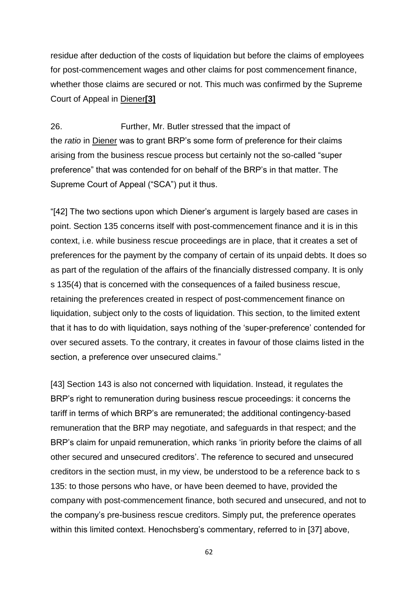residue after deduction of the costs of liquidation but before the claims of employees for post-commencement wages and other claims for post commencement finance, whether those claims are secured or not. This much was confirmed by the Supreme Court of Appeal in Diener**[\[3\]](http://www.saflii.org/za/cases/ZAWCHC/2021/20.html#_ftn3)**

26. Further, Mr. Butler stressed that the impact of the *ratio* in Diener was to grant BRP's some form of preference for their claims arising from the business rescue process but certainly not the so-called "super preference" that was contended for on behalf of the BRP's in that matter. The Supreme Court of Appeal ("SCA") put it thus.

"[42] The two sections upon which Diener's argument is largely based are cases in point. Section 135 concerns itself with post-commencement finance and it is in this context, i.e. while business rescue proceedings are in place, that it creates a set of preferences for the payment by the company of certain of its unpaid debts. It does so as part of the regulation of the affairs of the financially distressed company. It is only s 135(4) that is concerned with the consequences of a failed business rescue, retaining the preferences created in respect of post-commencement finance on liquidation, subject only to the costs of liquidation. This section, to the limited extent that it has to do with liquidation, says nothing of the 'super-preference' contended for over secured assets. To the contrary, it creates in favour of those claims listed in the section, a preference over unsecured claims."

[43] Section 143 is also not concerned with liquidation. Instead, it regulates the BRP's right to remuneration during business rescue proceedings: it concerns the tariff in terms of which BRP's are remunerated; the additional contingency-based remuneration that the BRP may negotiate, and safeguards in that respect; and the BRP's claim for unpaid remuneration, which ranks 'in priority before the claims of all other secured and unsecured creditors'. The reference to secured and unsecured creditors in the section must, in my view, be understood to be a reference back to s 135: to those persons who have, or have been deemed to have, provided the company with post-commencement finance, both secured and unsecured, and not to the company's pre-business rescue creditors. Simply put, the preference operates within this limited context. Henochsberg's commentary, referred to in [37] above,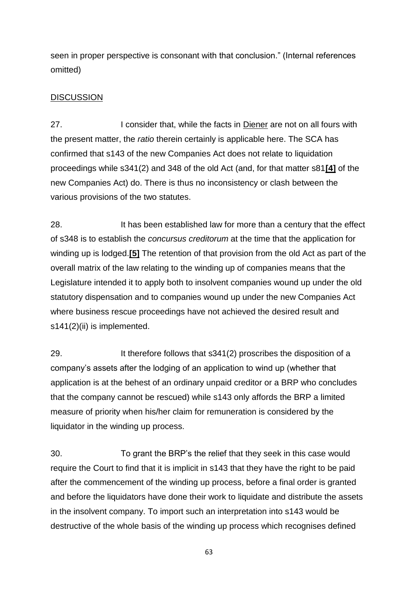seen in proper perspective is consonant with that conclusion." (Internal references omitted)

#### **DISCUSSION**

27. I consider that, while the facts in Diener are not on all fours with the present matter, the *ratio* therein certainly is applicable here. The SCA has confirmed that s143 of the new Companies Act does not relate to liquidation proceedings while s341(2) and 348 of the old Act (and, for that matter s81**[\[4\]](http://www.saflii.org/za/cases/ZAWCHC/2021/20.html#_ftn4)** of the new Companies Act) do. There is thus no inconsistency or clash between the various provisions of the two statutes.

28. It has been established law for more than a century that the effect of s348 is to establish the *concursus creditorum* at the time that the application for winding up is lodged.**[\[5\]](http://www.saflii.org/za/cases/ZAWCHC/2021/20.html#_ftn5)** The retention of that provision from the old Act as part of the overall matrix of the law relating to the winding up of companies means that the Legislature intended it to apply both to insolvent companies wound up under the old statutory dispensation and to companies wound up under the new Companies Act where business rescue proceedings have not achieved the desired result and s141(2)(ii) is implemented.

29. It therefore follows that s341(2) proscribes the disposition of a company's assets after the lodging of an application to wind up (whether that application is at the behest of an ordinary unpaid creditor or a BRP who concludes that the company cannot be rescued) while s143 only affords the BRP a limited measure of priority when his/her claim for remuneration is considered by the liquidator in the winding up process.

30. To grant the BRP's the relief that they seek in this case would require the Court to find that it is implicit in s143 that they have the right to be paid after the commencement of the winding up process, before a final order is granted and before the liquidators have done their work to liquidate and distribute the assets in the insolvent company. To import such an interpretation into s143 would be destructive of the whole basis of the winding up process which recognises defined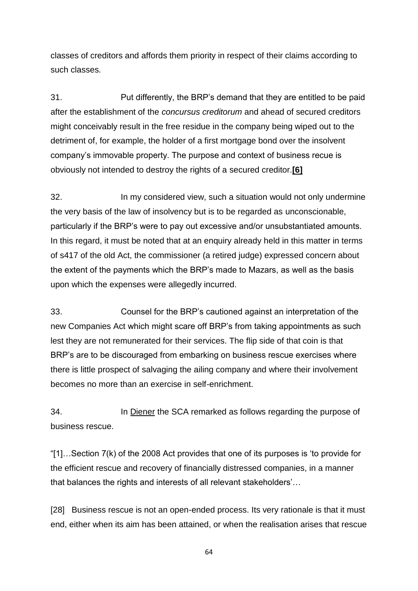classes of creditors and affords them priority in respect of their claims according to such classes.

31. Put differently, the BRP's demand that they are entitled to be paid after the establishment of the *concursus creditorum* and ahead of secured creditors might conceivably result in the free residue in the company being wiped out to the detriment of, for example, the holder of a first mortgage bond over the insolvent company's immovable property. The purpose and context of business recue is obviously not intended to destroy the rights of a secured creditor.**[\[6\]](http://www.saflii.org/za/cases/ZAWCHC/2021/20.html#_ftn6)**

32. In my considered view, such a situation would not only undermine the very basis of the law of insolvency but is to be regarded as unconscionable, particularly if the BRP's were to pay out excessive and/or unsubstantiated amounts. In this regard, it must be noted that at an enquiry already held in this matter in terms of s417 of the old Act, the commissioner (a retired judge) expressed concern about the extent of the payments which the BRP's made to Mazars, as well as the basis upon which the expenses were allegedly incurred.

33. Counsel for the BRP's cautioned against an interpretation of the new Companies Act which might scare off BRP's from taking appointments as such lest they are not remunerated for their services. The flip side of that coin is that BRP's are to be discouraged from embarking on business rescue exercises where there is little prospect of salvaging the ailing company and where their involvement becomes no more than an exercise in self-enrichment.

34. In Diener the SCA remarked as follows regarding the purpose of business rescue.

"[1]…Section 7(k) of the 2008 Act provides that one of its purposes is 'to provide for the efficient rescue and recovery of financially distressed companies, in a manner that balances the rights and interests of all relevant stakeholders'…

[28] Business rescue is not an open-ended process. Its very rationale is that it must end, either when its aim has been attained, or when the realisation arises that rescue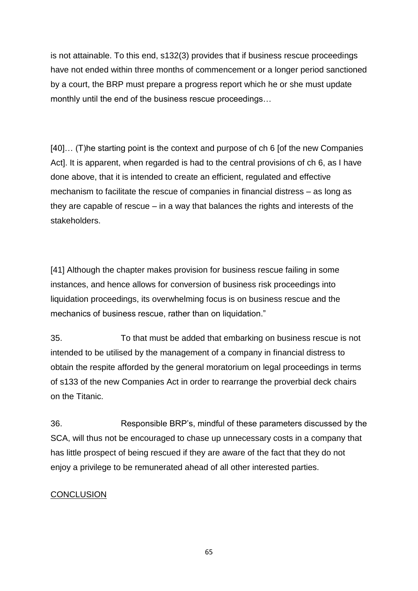is not attainable. To this end, s132(3) provides that if business rescue proceedings have not ended within three months of commencement or a longer period sanctioned by a court, the BRP must prepare a progress report which he or she must update monthly until the end of the business rescue proceedings…

[40]… (T)he starting point is the context and purpose of ch 6 [of the new Companies Act]. It is apparent, when regarded is had to the central provisions of ch 6, as I have done above, that it is intended to create an efficient, regulated and effective mechanism to facilitate the rescue of companies in financial distress – as long as they are capable of rescue – in a way that balances the rights and interests of the stakeholders.

[41] Although the chapter makes provision for business rescue failing in some instances, and hence allows for conversion of business risk proceedings into liquidation proceedings, its overwhelming focus is on business rescue and the mechanics of business rescue, rather than on liquidation."

35. To that must be added that embarking on business rescue is not intended to be utilised by the management of a company in financial distress to obtain the respite afforded by the general moratorium on legal proceedings in terms of s133 of the new Companies Act in order to rearrange the proverbial deck chairs on the Titanic.

36. Responsible BRP's, mindful of these parameters discussed by the SCA, will thus not be encouraged to chase up unnecessary costs in a company that has little prospect of being rescued if they are aware of the fact that they do not enjoy a privilege to be remunerated ahead of all other interested parties.

#### **CONCLUSION**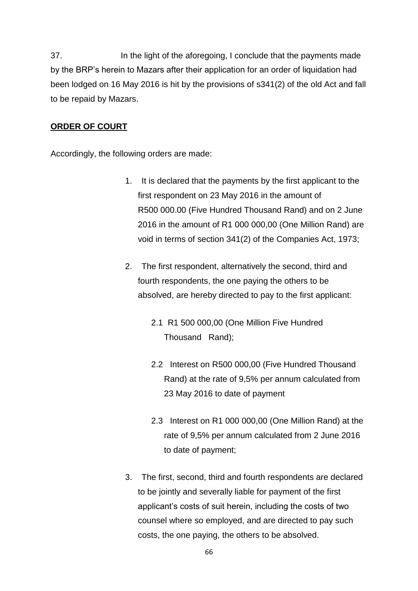37. In the light of the aforegoing, I conclude that the payments made by the BRP's herein to Mazars after their application for an order of liquidation had been lodged on 16 May 2016 is hit by the provisions of s341(2) of the old Act and fall to be repaid by Mazars.

#### **ORDER OF COURT**

Accordingly, the following orders are made:

- 1. It is declared that the payments by the first applicant to the first respondent on 23 May 2016 in the amount of R500 000.00 (Five Hundred Thousand Rand) and on 2 June 2016 in the amount of R1 000 000,00 (One Million Rand) are void in terms of section 341(2) of the Companies Act, 1973;
- 2. The first respondent, alternatively the second, third and fourth respondents, the one paying the others to be absolved, are hereby directed to pay to the first applicant:
	- 2.1 R1 500 000,00 (One Million Five Hundred Thousand Rand);
	- 2.2 Interest on R500 000,00 (Five Hundred Thousand Rand) at the rate of 9,5% per annum calculated from 23 May 2016 to date of payment
	- 2.3 Interest on R1 000 000,00 (One Million Rand) at the rate of 9,5% per annum calculated from 2 June 2016 to date of payment;
- 3. The first, second, third and fourth respondents are declared to be jointly and severally liable for payment of the first applicant's costs of suit herein, including the costs of two counsel where so employed, and are directed to pay such costs, the one paying, the others to be absolved.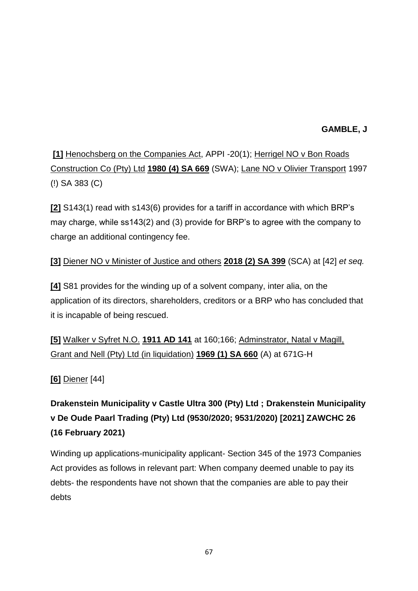### **GAMBLE, J**

**[\[1\]](http://www.saflii.org/za/cases/ZAWCHC/2021/20.html#_ftnref1)** Henochsberg on the Companies Act, APPI -20(1); Herrigel NO v Bon Roads Construction Co (Pty) Ltd **[1980 \(4\) SA 669](http://www.saflii.org/cgi-bin/LawCite?cit=1980%20%284%29%20SA%20669)** (SWA); Lane NO v Olivier Transport 1997 (!) SA 383 (C)

**[\[2\]](http://www.saflii.org/za/cases/ZAWCHC/2021/20.html#_ftnref2)** S143(1) read with s143(6) provides for a tariff in accordance with which BRP's may charge, while ss143(2) and (3) provide for BRP's to agree with the company to charge an additional contingency fee.

## **[\[3\]](http://www.saflii.org/za/cases/ZAWCHC/2021/20.html#_ftnref3)** Diener NO v Minister of Justice and others **[2018 \(2\) SA 399](http://www.saflii.org/cgi-bin/LawCite?cit=2018%20%282%29%20SA%20399)** (SCA) at [42] *et seq.*

**[\[4\]](http://www.saflii.org/za/cases/ZAWCHC/2021/20.html#_ftnref4)** S81 provides for the winding up of a solvent company, inter alia, on the application of its directors, shareholders, creditors or a BRP who has concluded that it is incapable of being rescued.

**[\[5\]](http://www.saflii.org/za/cases/ZAWCHC/2021/20.html#_ftnref5)** Walker v Syfret N.O. **[1911 AD 141](http://www.saflii.org/cgi-bin/LawCite?cit=1911%20AD%20141)** at 160;166; Adminstrator, Natal v Magill, Grant and Nell (Pty) Ltd (in liquidation) **[1969 \(1\) SA 660](http://www.saflii.org/cgi-bin/LawCite?cit=1969%20%281%29%20SA%20660)** (A) at 671G-H

### **[\[6\]](http://www.saflii.org/za/cases/ZAWCHC/2021/20.html#_ftnref6)** Diener [44]

**Drakenstein Municipality v Castle Ultra 300 (Pty) Ltd ; Drakenstein Municipality v De Oude Paarl Trading (Pty) Ltd (9530/2020; 9531/2020) [2021] ZAWCHC 26 (16 February 2021)**

Winding up applications-municipality applicant- Section 345 of the 1973 Companies Act provides as follows in relevant part: When company deemed unable to pay its debts- the respondents have not shown that the companies are able to pay their debts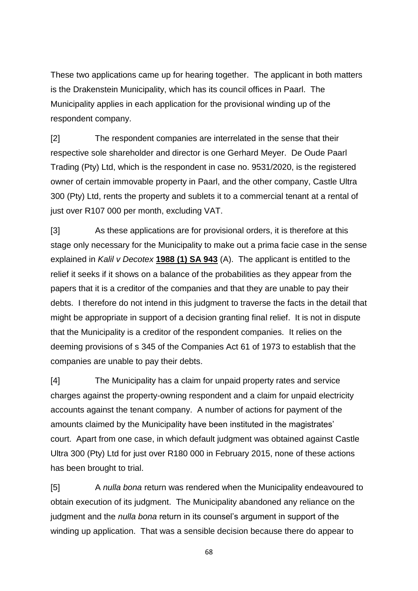These two applications came up for hearing together. The applicant in both matters is the Drakenstein Municipality, which has its council offices in Paarl. The Municipality applies in each application for the provisional winding up of the respondent company.

[2] The respondent companies are interrelated in the sense that their respective sole shareholder and director is one Gerhard Meyer. De Oude Paarl Trading (Pty) Ltd, which is the respondent in case no. 9531/2020, is the registered owner of certain immovable property in Paarl, and the other company, Castle Ultra 300 (Pty) Ltd, rents the property and sublets it to a commercial tenant at a rental of just over R107 000 per month, excluding VAT.

[3] As these applications are for provisional orders, it is therefore at this stage only necessary for the Municipality to make out a prima facie case in the sense explained in *Kalil v Decotex* **[1988 \(1\) SA 943](http://www.saflii.org/cgi-bin/LawCite?cit=1988%20%281%29%20SA%20943)** (A). The applicant is entitled to the relief it seeks if it shows on a balance of the probabilities as they appear from the papers that it is a creditor of the companies and that they are unable to pay their debts. I therefore do not intend in this judgment to traverse the facts in the detail that might be appropriate in support of a decision granting final relief. It is not in dispute that the Municipality is a creditor of the respondent companies. It relies on the deeming provisions of s 345 of the Companies Act 61 of 1973 to establish that the companies are unable to pay their debts.

[4] The Municipality has a claim for unpaid property rates and service charges against the property-owning respondent and a claim for unpaid electricity accounts against the tenant company. A number of actions for payment of the amounts claimed by the Municipality have been instituted in the magistrates' court. Apart from one case, in which default judgment was obtained against Castle Ultra 300 (Pty) Ltd for just over R180 000 in February 2015, none of these actions has been brought to trial.

[5] A *nulla bona* return was rendered when the Municipality endeavoured to obtain execution of its judgment. The Municipality abandoned any reliance on the judgment and the *nulla bona* return in its counsel's argument in support of the winding up application. That was a sensible decision because there do appear to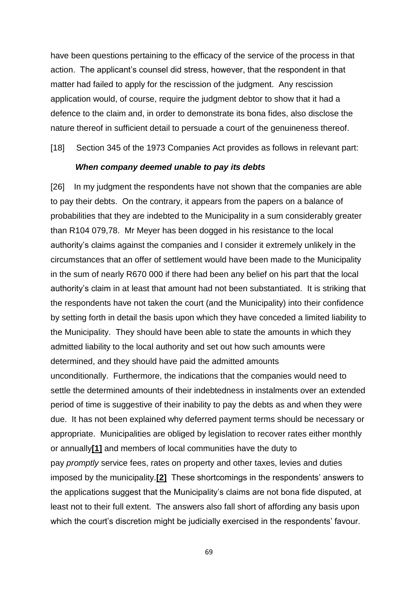have been questions pertaining to the efficacy of the service of the process in that action. The applicant's counsel did stress, however, that the respondent in that matter had failed to apply for the rescission of the judgment. Any rescission application would, of course, require the judgment debtor to show that it had a defence to the claim and, in order to demonstrate its bona fides, also disclose the nature thereof in sufficient detail to persuade a court of the genuineness thereof.

[18] Section 345 of the 1973 Companies Act provides as follows in relevant part:

#### *When company deemed unable to pay its debts*

[26] In my judgment the respondents have not shown that the companies are able to pay their debts. On the contrary, it appears from the papers on a balance of probabilities that they are indebted to the Municipality in a sum considerably greater than R104 079,78. Mr Meyer has been dogged in his resistance to the local authority's claims against the companies and I consider it extremely unlikely in the circumstances that an offer of settlement would have been made to the Municipality in the sum of nearly R670 000 if there had been any belief on his part that the local authority's claim in at least that amount had not been substantiated. It is striking that the respondents have not taken the court (and the Municipality) into their confidence by setting forth in detail the basis upon which they have conceded a limited liability to the Municipality. They should have been able to state the amounts in which they admitted liability to the local authority and set out how such amounts were determined, and they should have paid the admitted amounts

unconditionally. Furthermore, the indications that the companies would need to settle the determined amounts of their indebtedness in instalments over an extended period of time is suggestive of their inability to pay the debts as and when they were due. It has not been explained why deferred payment terms should be necessary or appropriate. Municipalities are obliged by legislation to recover rates either monthly or annually**[\[1\]](http://www.saflii.org/za/cases/ZAWCHC/2021/26.html#_ftn1)** and members of local communities have the duty to pay *promptly* service fees, rates on property and other taxes, levies and duties imposed by the municipality.**[\[2\]](http://www.saflii.org/za/cases/ZAWCHC/2021/26.html#_ftn2)** These shortcomings in the respondents' answers to the applications suggest that the Municipality's claims are not bona fide disputed, at least not to their full extent. The answers also fall short of affording any basis upon which the court's discretion might be judicially exercised in the respondents' favour.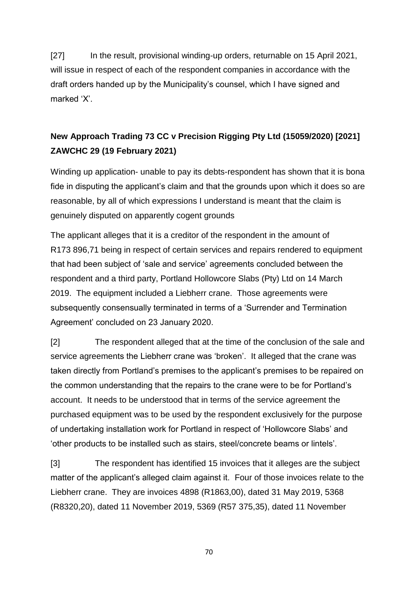[27] In the result, provisional winding-up orders, returnable on 15 April 2021, will issue in respect of each of the respondent companies in accordance with the draft orders handed up by the Municipality's counsel, which I have signed and marked 'X'.

# **New Approach Trading 73 CC v Precision Rigging Pty Ltd (15059/2020) [2021] ZAWCHC 29 (19 February 2021)**

Winding up application- unable to pay its debts-respondent has shown that it is bona fide in disputing the applicant's claim and that the grounds upon which it does so are reasonable, by all of which expressions I understand is meant that the claim is genuinely disputed on apparently cogent grounds

The applicant alleges that it is a creditor of the respondent in the amount of R173 896,71 being in respect of certain services and repairs rendered to equipment that had been subject of 'sale and service' agreements concluded between the respondent and a third party, Portland Hollowcore Slabs (Pty) Ltd on 14 March 2019. The equipment included a Liebherr crane. Those agreements were subsequently consensually terminated in terms of a 'Surrender and Termination Agreement' concluded on 23 January 2020.

[2] The respondent alleged that at the time of the conclusion of the sale and service agreements the Liebherr crane was 'broken'. It alleged that the crane was taken directly from Portland's premises to the applicant's premises to be repaired on the common understanding that the repairs to the crane were to be for Portland's account. It needs to be understood that in terms of the service agreement the purchased equipment was to be used by the respondent exclusively for the purpose of undertaking installation work for Portland in respect of 'Hollowcore Slabs' and 'other products to be installed such as stairs, steel/concrete beams or lintels'.

[3] The respondent has identified 15 invoices that it alleges are the subject matter of the applicant's alleged claim against it. Four of those invoices relate to the Liebherr crane. They are invoices 4898 (R1863,00), dated 31 May 2019, 5368 (R8320,20), dated 11 November 2019, 5369 (R57 375,35), dated 11 November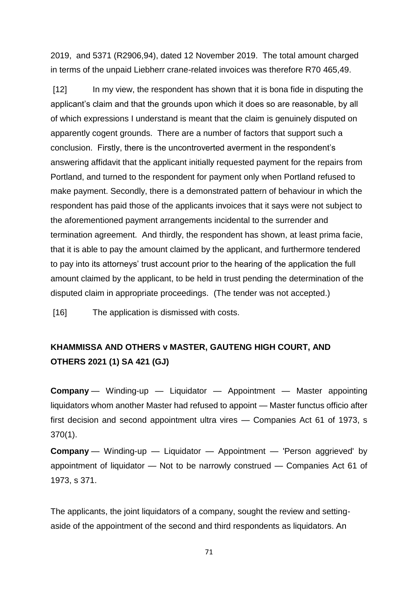2019, and 5371 (R2906,94), dated 12 November 2019. The total amount charged in terms of the unpaid Liebherr crane-related invoices was therefore R70 465,49.

[12] In my view, the respondent has shown that it is bona fide in disputing the applicant's claim and that the grounds upon which it does so are reasonable, by all of which expressions I understand is meant that the claim is genuinely disputed on apparently cogent grounds. There are a number of factors that support such a conclusion. Firstly, there is the uncontroverted averment in the respondent's answering affidavit that the applicant initially requested payment for the repairs from Portland, and turned to the respondent for payment only when Portland refused to make payment. Secondly, there is a demonstrated pattern of behaviour in which the respondent has paid those of the applicants invoices that it says were not subject to the aforementioned payment arrangements incidental to the surrender and termination agreement. And thirdly, the respondent has shown, at least prima facie, that it is able to pay the amount claimed by the applicant, and furthermore tendered to pay into its attorneys' trust account prior to the hearing of the application the full amount claimed by the applicant, to be held in trust pending the determination of the disputed claim in appropriate proceedings. (The tender was not accepted.)

[16] The application is dismissed with costs.

# **KHAMMISSA AND OTHERS v MASTER, GAUTENG HIGH COURT, AND OTHERS 2021 (1) SA 421 (GJ)**

**Company** — Winding-up — Liquidator — Appointment — Master appointing liquidators whom another Master had refused to appoint — Master functus officio after first decision and second appointment ultra vires — Companies Act 61 of 1973, s 370(1).

**Company** — Winding-up — Liquidator — Appointment — 'Person aggrieved' by appointment of liquidator — Not to be narrowly construed — Companies Act 61 of 1973, s 371.

The applicants, the joint liquidators of a company, sought the review and settingaside of the appointment of the second and third respondents as liquidators. An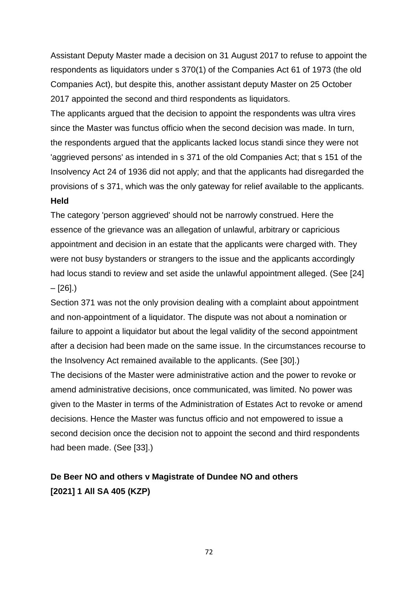Assistant Deputy Master made a decision on 31 August 2017 to refuse to appoint the respondents as liquidators under s 370(1) of the Companies Act 61 of 1973 (the old Companies Act), but despite this, another assistant deputy Master on 25 October 2017 appointed the second and third respondents as liquidators.

The applicants argued that the decision to appoint the respondents was ultra vires since the Master was functus officio when the second decision was made. In turn, the respondents argued that the applicants lacked locus standi since they were not 'aggrieved persons' as intended in s 371 of the old Companies Act; that s 151 of the Insolvency Act 24 of 1936 did not apply; and that the applicants had disregarded the provisions of s 371, which was the only gateway for relief available to the applicants. **Held**

The category 'person aggrieved' should not be narrowly construed. Here the essence of the grievance was an allegation of unlawful, arbitrary or capricious appointment and decision in an estate that the applicants were charged with. They were not busy bystanders or strangers to the issue and the applicants accordingly had locus standi to review and set aside the unlawful appointment alleged. (See [24]  $-$  [26].)

Section 371 was not the only provision dealing with a complaint about appointment and non-appointment of a liquidator. The dispute was not about a nomination or failure to appoint a liquidator but about the legal validity of the second appointment after a decision had been made on the same issue. In the circumstances recourse to the Insolvency Act remained available to the applicants. (See [30].)

The decisions of the Master were administrative action and the power to revoke or amend administrative decisions, once communicated, was limited. No power was given to the Master in terms of the Administration of Estates Act to revoke or amend decisions. Hence the Master was functus officio and not empowered to issue a second decision once the decision not to appoint the second and third respondents had been made. (See [33].)

# **De Beer NO and others v Magistrate of Dundee NO and others [2021] 1 All SA 405 (KZP)**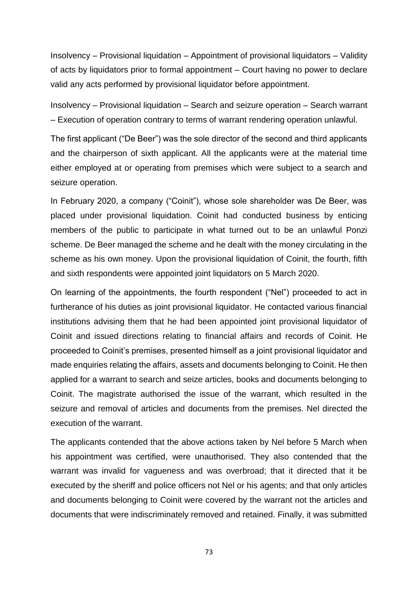Insolvency – Provisional liquidation – Appointment of provisional liquidators – Validity of acts by liquidators prior to formal appointment – Court having no power to declare valid any acts performed by provisional liquidator before appointment.

Insolvency – Provisional liquidation – Search and seizure operation – Search warrant – Execution of operation contrary to terms of warrant rendering operation unlawful.

The first applicant ("De Beer") was the sole director of the second and third applicants and the chairperson of sixth applicant. All the applicants were at the material time either employed at or operating from premises which were subject to a search and seizure operation.

In February 2020, a company ("Coinit"), whose sole shareholder was De Beer, was placed under provisional liquidation. Coinit had conducted business by enticing members of the public to participate in what turned out to be an unlawful Ponzi scheme. De Beer managed the scheme and he dealt with the money circulating in the scheme as his own money. Upon the provisional liquidation of Coinit, the fourth, fifth and sixth respondents were appointed joint liquidators on 5 March 2020.

On learning of the appointments, the fourth respondent ("Nel") proceeded to act in furtherance of his duties as joint provisional liquidator. He contacted various financial institutions advising them that he had been appointed joint provisional liquidator of Coinit and issued directions relating to financial affairs and records of Coinit. He proceeded to Coinit's premises, presented himself as a joint provisional liquidator and made enquiries relating the affairs, assets and documents belonging to Coinit. He then applied for a warrant to search and seize articles, books and documents belonging to Coinit. The magistrate authorised the issue of the warrant, which resulted in the seizure and removal of articles and documents from the premises. Nel directed the execution of the warrant.

The applicants contended that the above actions taken by Nel before 5 March when his appointment was certified, were unauthorised. They also contended that the warrant was invalid for vagueness and was overbroad; that it directed that it be executed by the sheriff and police officers not Nel or his agents; and that only articles and documents belonging to Coinit were covered by the warrant not the articles and documents that were indiscriminately removed and retained. Finally, it was submitted

73